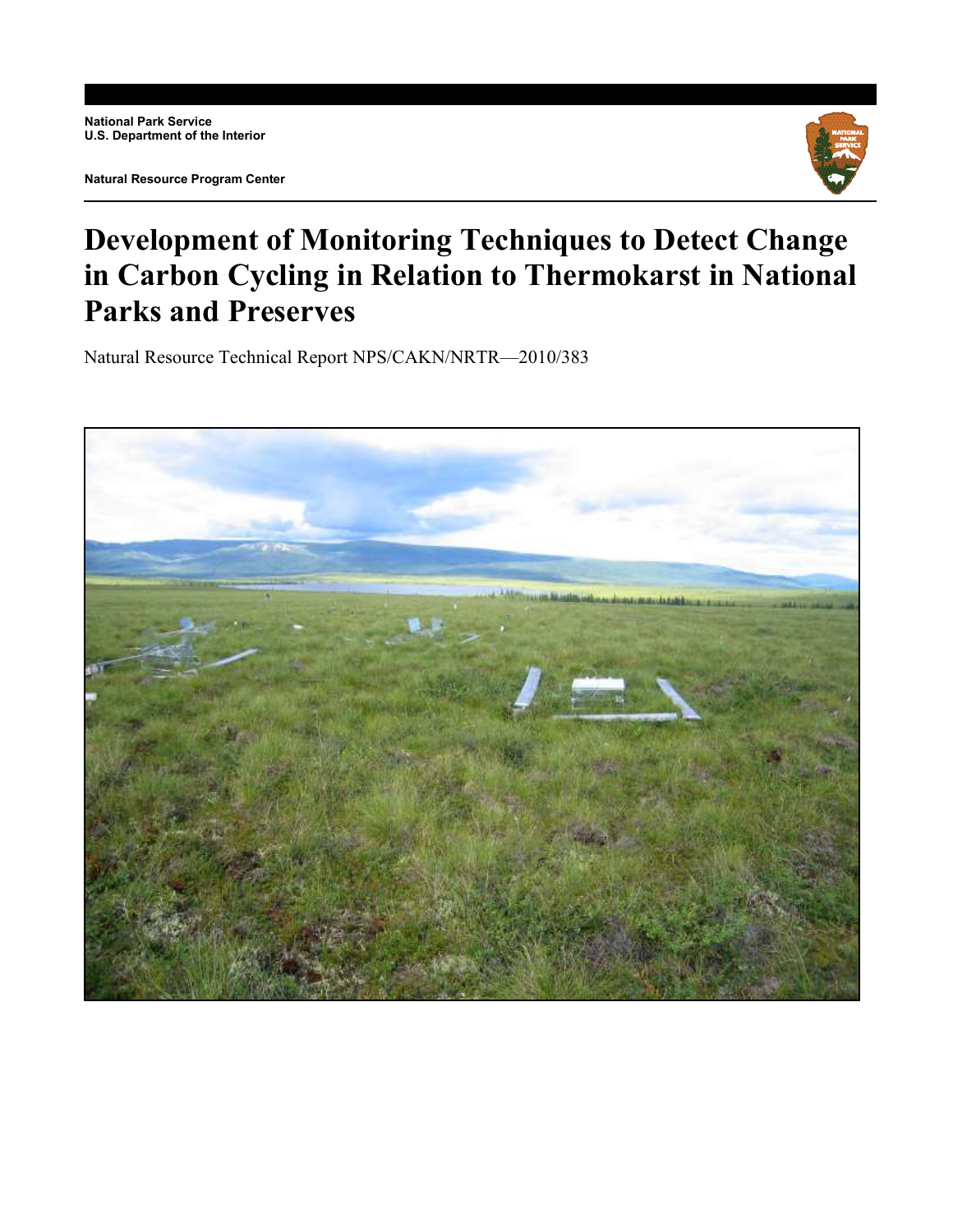

# **Development of Monitoring Techniques to Detect Change in Carbon Cycling in Relation to Thermokarst in National Parks and Preserves**

Natural Resource Technical Report NPS/CAKN/NRTR—2010/383

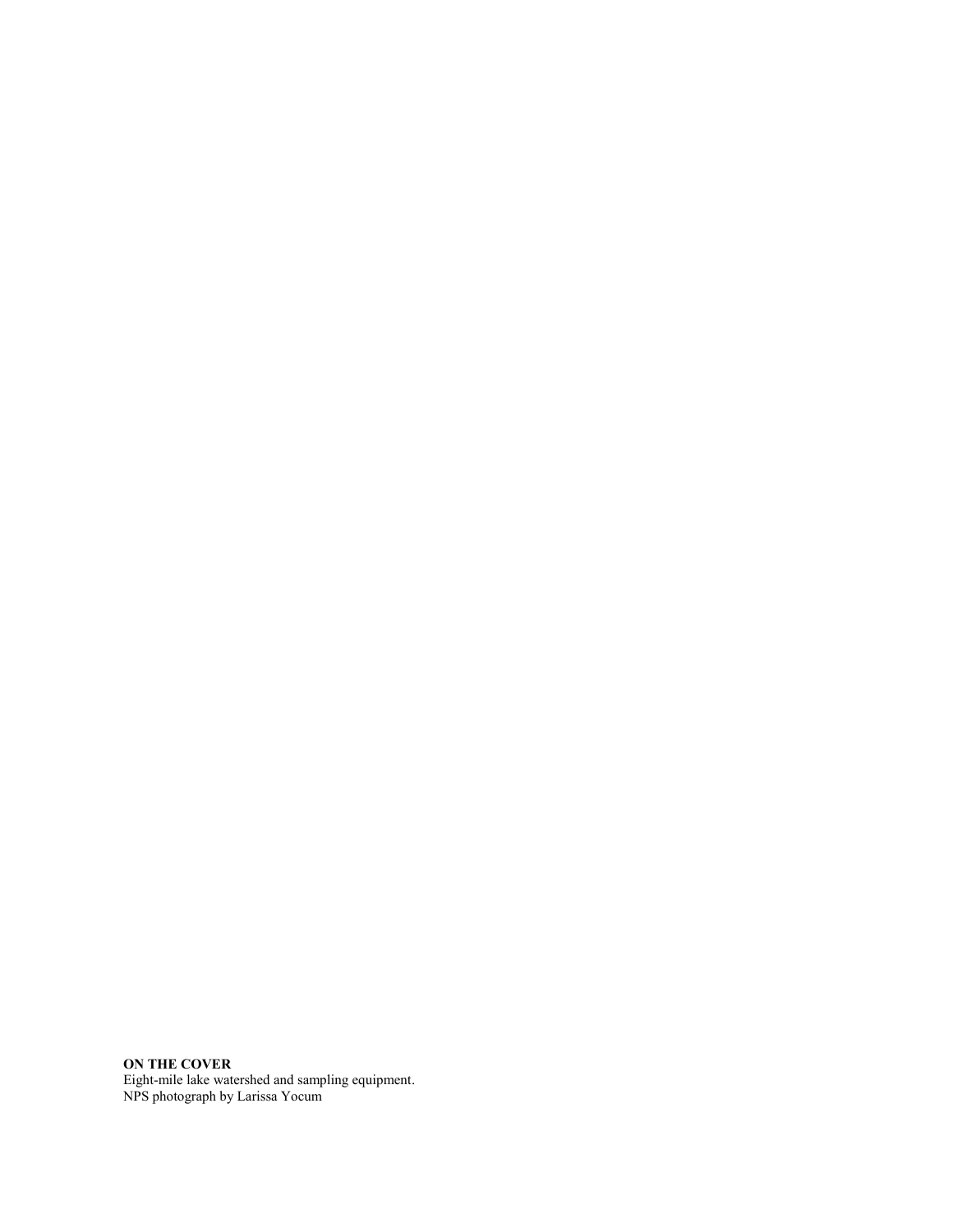**ON THE COVER** Eight-mile lake watershed and sampling equipment. NPS photograph by Larissa Yocum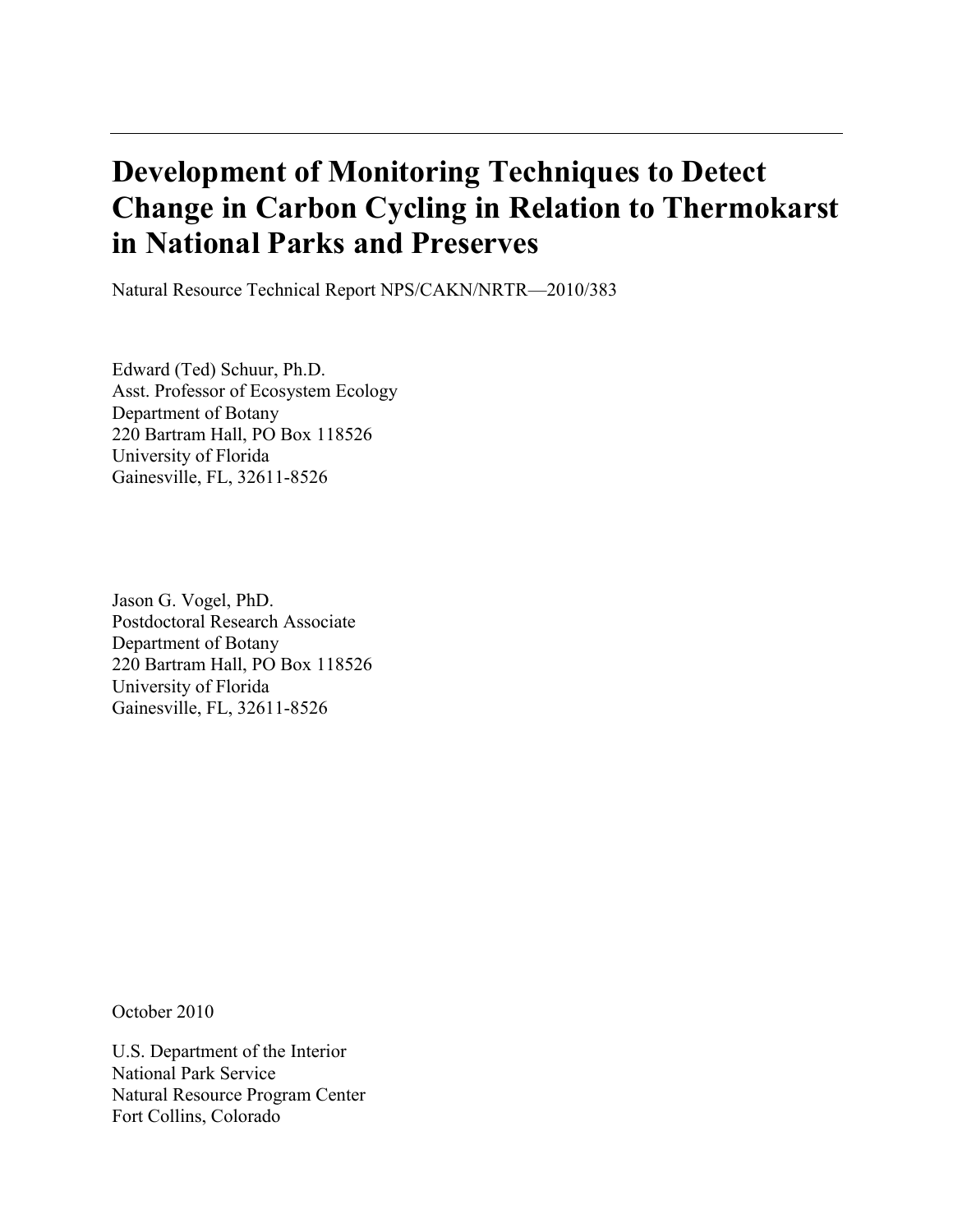# **Development of Monitoring Techniques to Detect Change in Carbon Cycling in Relation to Thermokarst in National Parks and Preserves**

Natural Resource Technical Report NPS/CAKN/NRTR—2010/383

Edward (Ted) Schuur, Ph.D. Asst. Professor of Ecosystem Ecology Department of Botany 220 Bartram Hall, PO Box 118526 University of Florida Gainesville, FL, 32611-8526

Jason G. Vogel, PhD. Postdoctoral Research Associate Department of Botany 220 Bartram Hall, PO Box 118526 University of Florida Gainesville, FL, 32611-8526

October 2010

U.S. Department of the Interior National Park Service Natural Resource Program Center Fort Collins, Colorado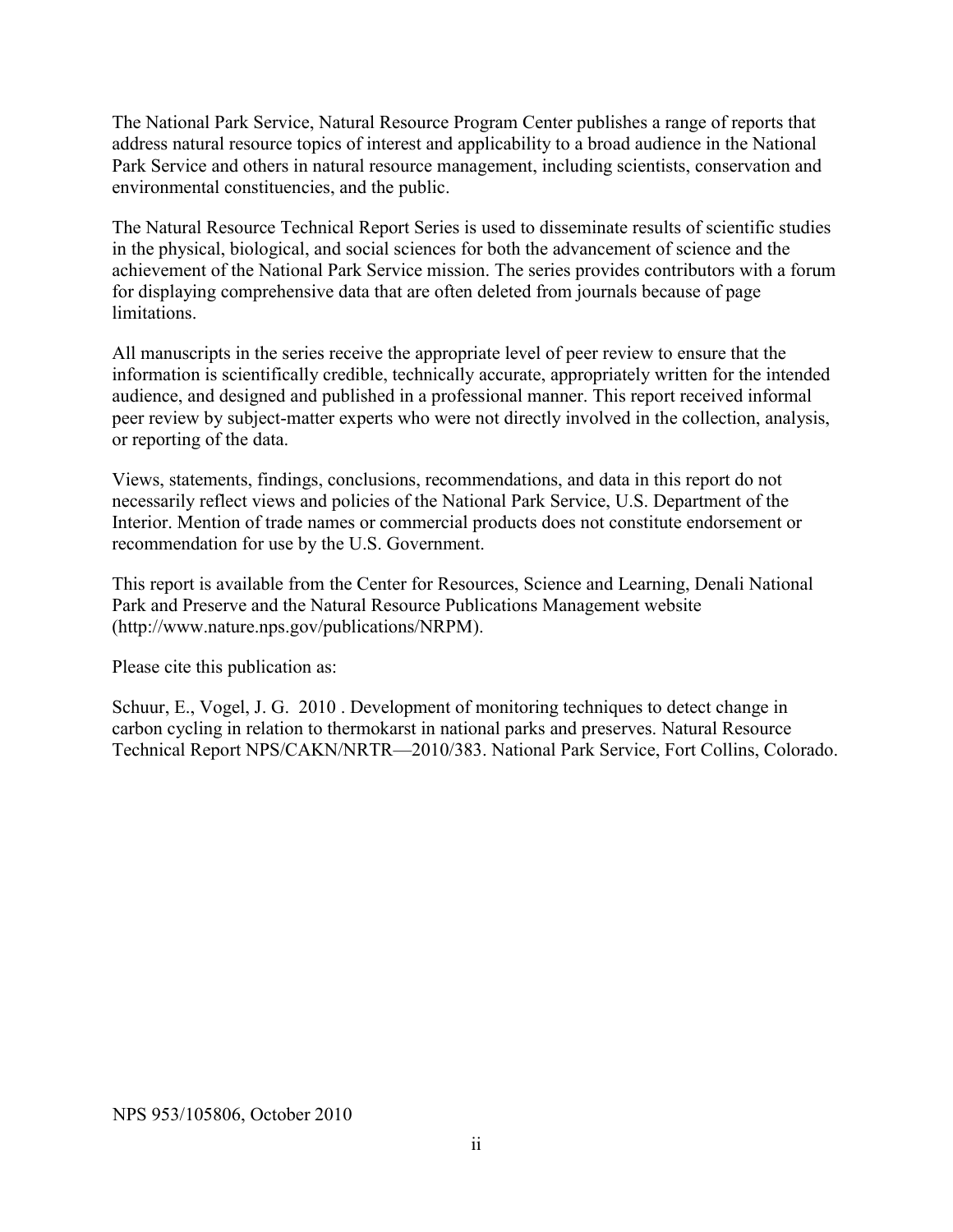The National Park Service, Natural Resource Program Center publishes a range of reports that address natural resource topics of interest and applicability to a broad audience in the National Park Service and others in natural resource management, including scientists, conservation and environmental constituencies, and the public.

The Natural Resource Technical Report Series is used to disseminate results of scientific studies in the physical, biological, and social sciences for both the advancement of science and the achievement of the National Park Service mission. The series provides contributors with a forum for displaying comprehensive data that are often deleted from journals because of page limitations.

All manuscripts in the series receive the appropriate level of peer review to ensure that the information is scientifically credible, technically accurate, appropriately written for the intended audience, and designed and published in a professional manner. This report received informal peer review by subject-matter experts who were not directly involved in the collection, analysis, or reporting of the data.

Views, statements, findings, conclusions, recommendations, and data in this report do not necessarily reflect views and policies of the National Park Service, U.S. Department of the Interior. Mention of trade names or commercial products does not constitute endorsement or recommendation for use by the U.S. Government.

This report is available from the Center for Resources, Science and Learning, Denali National Park and Preserve and the Natural Resource Publications Management website [\(http://www.nature.nps.gov/publications/NRPM\)](http://www.nature.nps.gov/publications/NRPM).

Please cite this publication as:

Schuur, E., Vogel, J. G. 2010 . Development of monitoring techniques to detect change in carbon cycling in relation to thermokarst in national parks and preserves. Natural Resource Technical Report NPS/CAKN/NRTR—2010/383. National Park Service, Fort Collins, Colorado.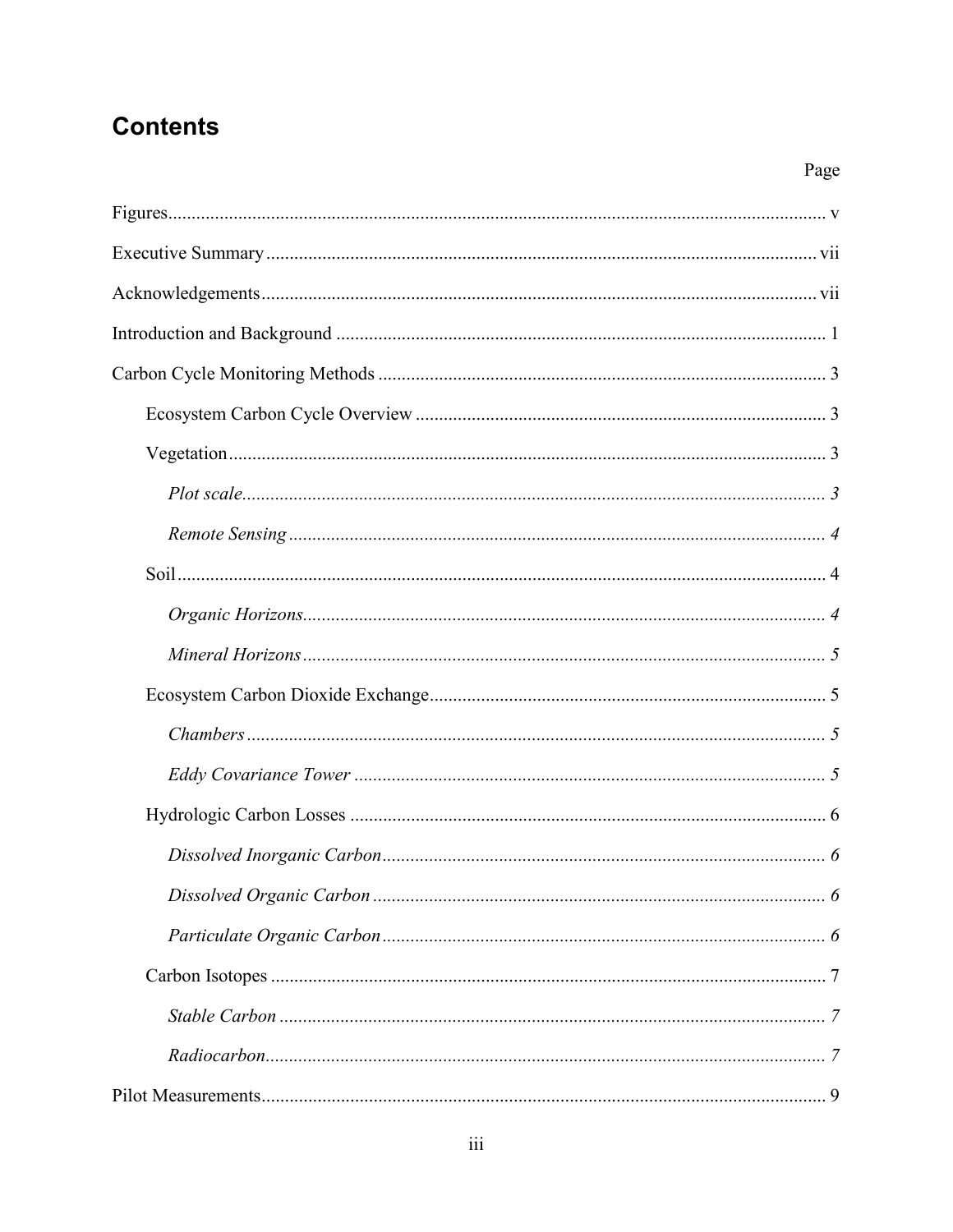## **Contents**

| $\sim$ 5<br><i>Mineral Horizons</i> |  |
|-------------------------------------|--|

Page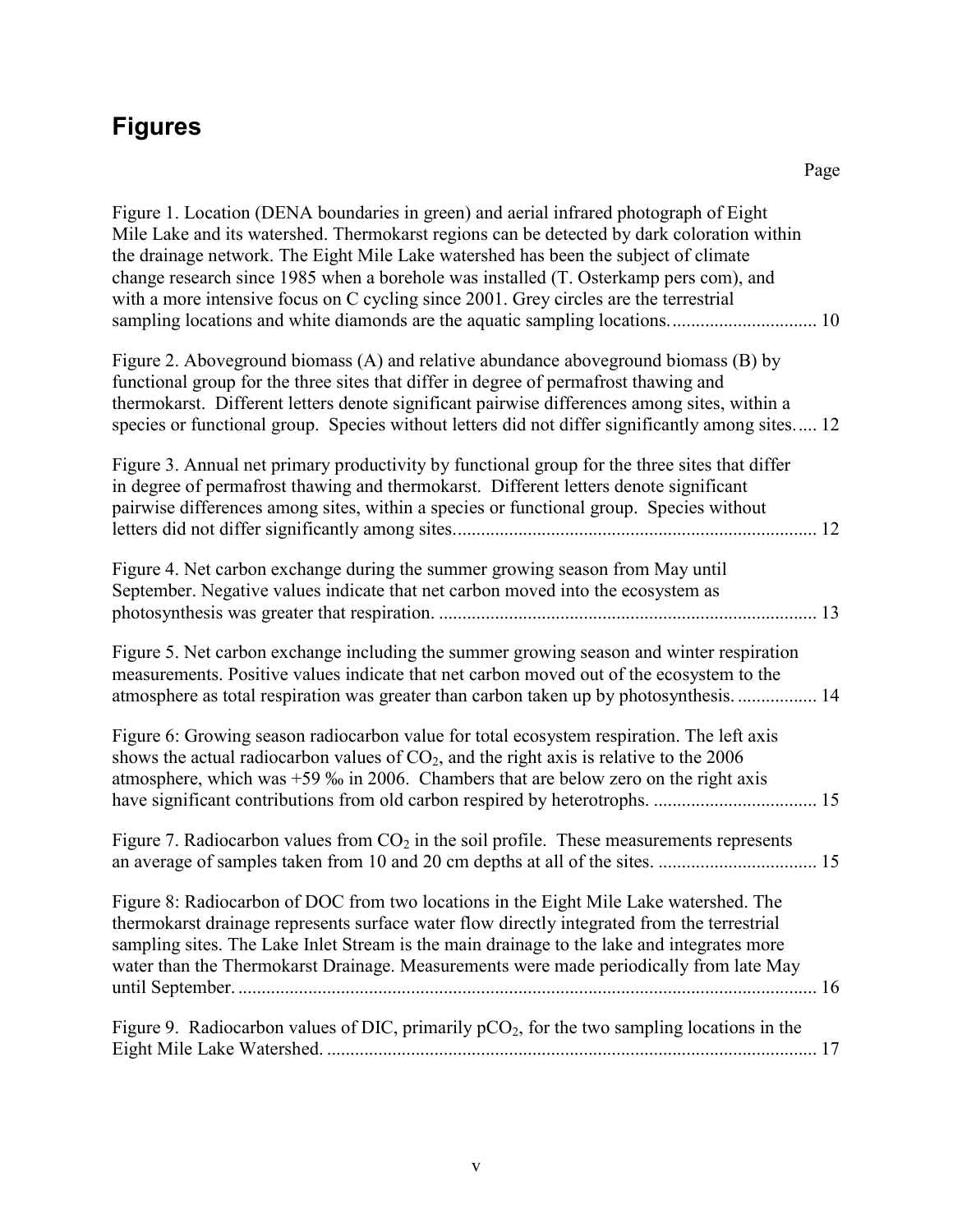# <span id="page-6-0"></span>**Figures**

| Figure 1. Location (DENA boundaries in green) and aerial infrared photograph of Eight<br>Mile Lake and its watershed. Thermokarst regions can be detected by dark coloration within<br>the drainage network. The Eight Mile Lake watershed has been the subject of climate<br>change research since 1985 when a borehole was installed (T. Osterkamp pers com), and<br>with a more intensive focus on C cycling since 2001. Grey circles are the terrestrial |  |
|--------------------------------------------------------------------------------------------------------------------------------------------------------------------------------------------------------------------------------------------------------------------------------------------------------------------------------------------------------------------------------------------------------------------------------------------------------------|--|
| Figure 2. Aboveground biomass (A) and relative abundance aboveground biomass (B) by<br>functional group for the three sites that differ in degree of permafrost thawing and<br>thermokarst. Different letters denote significant pairwise differences among sites, within a<br>species or functional group. Species without letters did not differ significantly among sites 12                                                                              |  |
| Figure 3. Annual net primary productivity by functional group for the three sites that differ<br>in degree of permafrost thawing and thermokarst. Different letters denote significant<br>pairwise differences among sites, within a species or functional group. Species without                                                                                                                                                                            |  |
| Figure 4. Net carbon exchange during the summer growing season from May until<br>September. Negative values indicate that net carbon moved into the ecosystem as                                                                                                                                                                                                                                                                                             |  |
| Figure 5. Net carbon exchange including the summer growing season and winter respiration<br>measurements. Positive values indicate that net carbon moved out of the ecosystem to the<br>atmosphere as total respiration was greater than carbon taken up by photosynthesis 14                                                                                                                                                                                |  |
| Figure 6: Growing season radiocarbon value for total ecosystem respiration. The left axis<br>shows the actual radiocarbon values of $CO2$ , and the right axis is relative to the 2006<br>atmosphere, which was $+59$ % in 2006. Chambers that are below zero on the right axis                                                                                                                                                                              |  |
| Figure 7. Radiocarbon values from $CO2$ in the soil profile. These measurements represents                                                                                                                                                                                                                                                                                                                                                                   |  |
| Figure 8: Radiocarbon of DOC from two locations in the Eight Mile Lake watershed. The<br>thermokarst drainage represents surface water flow directly integrated from the terrestrial<br>sampling sites. The Lake Inlet Stream is the main drainage to the lake and integrates more<br>water than the Thermokarst Drainage. Measurements were made periodically from late May                                                                                 |  |
| Figure 9. Radiocarbon values of DIC, primarily $pCO_2$ , for the two sampling locations in the                                                                                                                                                                                                                                                                                                                                                               |  |
|                                                                                                                                                                                                                                                                                                                                                                                                                                                              |  |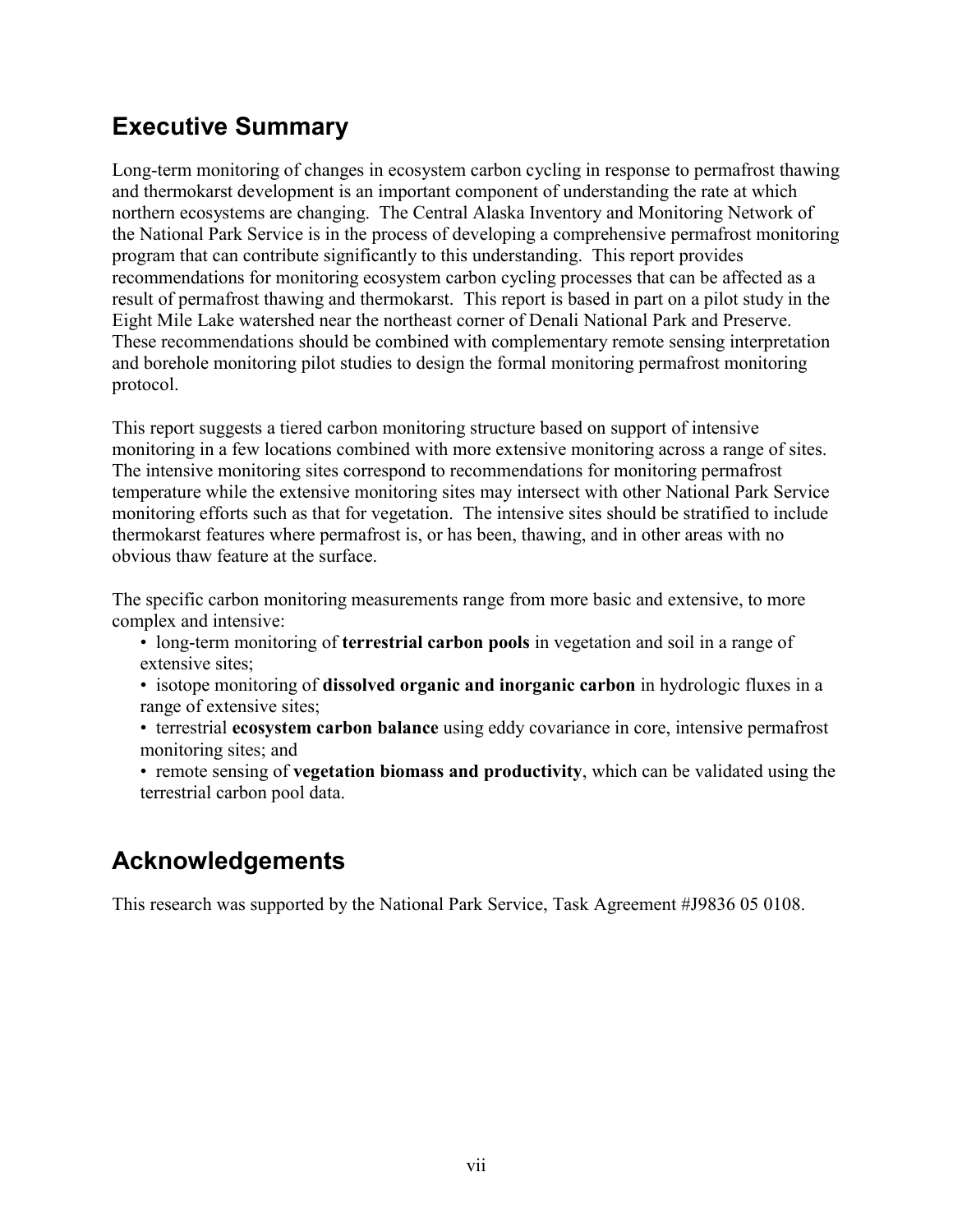## <span id="page-8-0"></span>**Executive Summary**

Long-term monitoring of changes in ecosystem carbon cycling in response to permafrost thawing and thermokarst development is an important component of understanding the rate at which northern ecosystems are changing. The Central Alaska Inventory and Monitoring Network of the National Park Service is in the process of developing a comprehensive permafrost monitoring program that can contribute significantly to this understanding. This report provides recommendations for monitoring ecosystem carbon cycling processes that can be affected as a result of permafrost thawing and thermokarst. This report is based in part on a pilot study in the Eight Mile Lake watershed near the northeast corner of Denali National Park and Preserve. These recommendations should be combined with complementary remote sensing interpretation and borehole monitoring pilot studies to design the formal monitoring permafrost monitoring protocol.

This report suggests a tiered carbon monitoring structure based on support of intensive monitoring in a few locations combined with more extensive monitoring across a range of sites. The intensive monitoring sites correspond to recommendations for monitoring permafrost temperature while the extensive monitoring sites may intersect with other National Park Service monitoring efforts such as that for vegetation. The intensive sites should be stratified to include thermokarst features where permafrost is, or has been, thawing, and in other areas with no obvious thaw feature at the surface.

The specific carbon monitoring measurements range from more basic and extensive, to more complex and intensive:

- long-term monitoring of **terrestrial carbon pools** in vegetation and soil in a range of extensive sites;
- isotope monitoring of **dissolved organic and inorganic carbon** in hydrologic fluxes in a range of extensive sites;
- terrestrial **ecosystem carbon balance** using eddy covariance in core, intensive permafrost monitoring sites; and
- remote sensing of **vegetation biomass and productivity**, which can be validated using the terrestrial carbon pool data.

## <span id="page-8-1"></span>**Acknowledgements**

This research was supported by the National Park Service, Task Agreement #J9836 05 0108.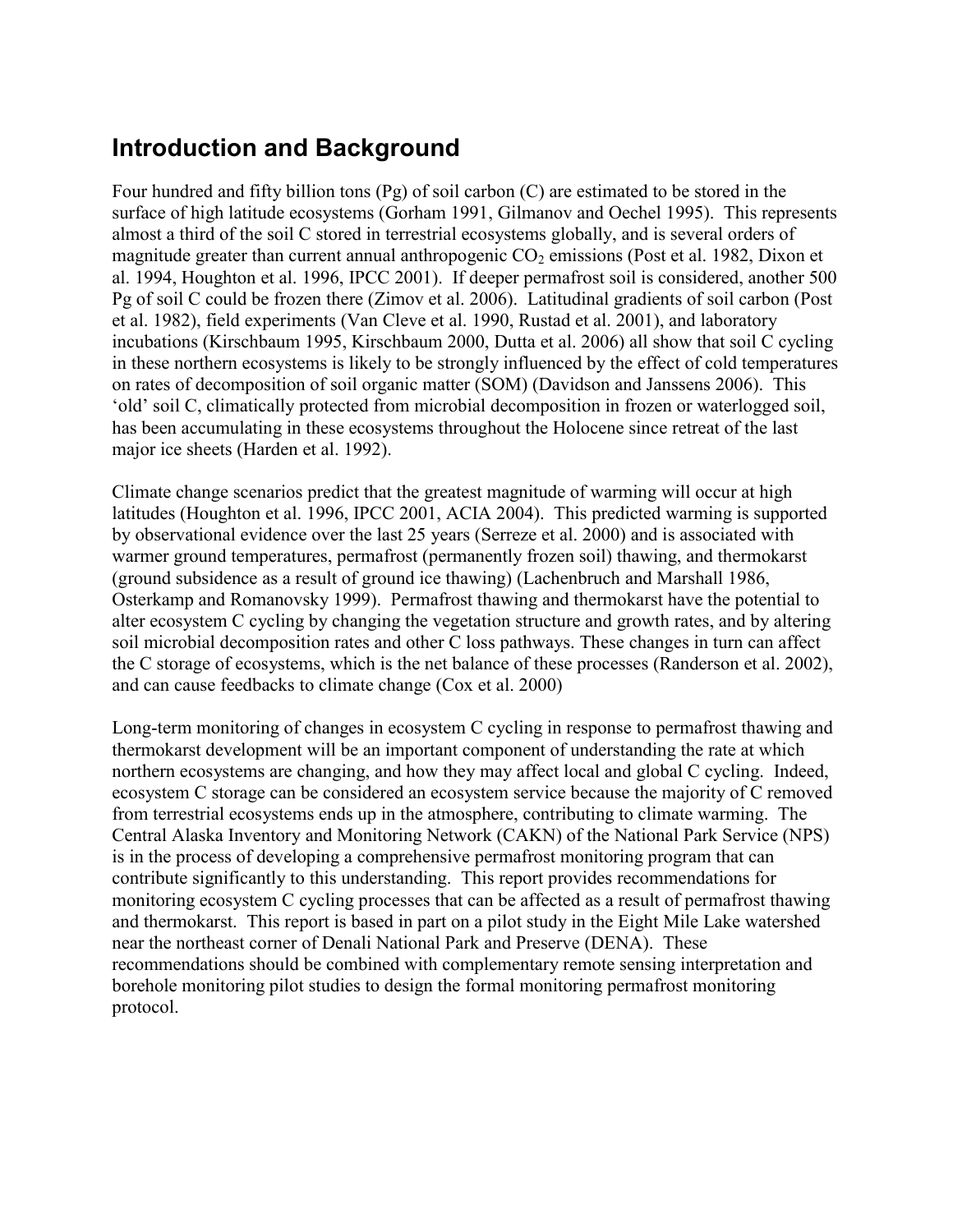## <span id="page-10-0"></span>**Introduction and Background**

Four hundred and fifty billion tons (Pg) of soil carbon (C) are estimated to be stored in the surface of high latitude ecosystems (Gorham 1991, Gilmanov and Oechel 1995). This represents almost a third of the soil C stored in terrestrial ecosystems globally, and is several orders of magnitude greater than current annual anthropogenic  $CO<sub>2</sub>$  emissions (Post et al. 1982, Dixon et al. 1994, Houghton et al. 1996, IPCC 2001). If deeper permafrost soil is considered, another 500 Pg of soil C could be frozen there (Zimov et al. 2006). Latitudinal gradients of soil carbon (Post et al. 1982), field experiments (Van Cleve et al. 1990, Rustad et al. 2001), and laboratory incubations (Kirschbaum 1995, Kirschbaum 2000, Dutta et al. 2006) all show that soil C cycling in these northern ecosystems is likely to be strongly influenced by the effect of cold temperatures on rates of decomposition of soil organic matter (SOM) (Davidson and Janssens 2006). This "old" soil C, climatically protected from microbial decomposition in frozen or waterlogged soil, has been accumulating in these ecosystems throughout the Holocene since retreat of the last major ice sheets (Harden et al. 1992).

Climate change scenarios predict that the greatest magnitude of warming will occur at high latitudes (Houghton et al. 1996, IPCC 2001, ACIA 2004). This predicted warming is supported by observational evidence over the last 25 years (Serreze et al. 2000) and is associated with warmer ground temperatures, permafrost (permanently frozen soil) thawing, and thermokarst (ground subsidence as a result of ground ice thawing) (Lachenbruch and Marshall 1986, Osterkamp and Romanovsky 1999). Permafrost thawing and thermokarst have the potential to alter ecosystem C cycling by changing the vegetation structure and growth rates, and by altering soil microbial decomposition rates and other C loss pathways. These changes in turn can affect the C storage of ecosystems, which is the net balance of these processes (Randerson et al. 2002), and can cause feedbacks to climate change (Cox et al. 2000)

Long-term monitoring of changes in ecosystem C cycling in response to permafrost thawing and thermokarst development will be an important component of understanding the rate at which northern ecosystems are changing, and how they may affect local and global C cycling. Indeed, ecosystem C storage can be considered an ecosystem service because the majority of C removed from terrestrial ecosystems ends up in the atmosphere, contributing to climate warming. The Central Alaska Inventory and Monitoring Network (CAKN) of the National Park Service (NPS) is in the process of developing a comprehensive permafrost monitoring program that can contribute significantly to this understanding. This report provides recommendations for monitoring ecosystem C cycling processes that can be affected as a result of permafrost thawing and thermokarst. This report is based in part on a pilot study in the Eight Mile Lake watershed near the northeast corner of Denali National Park and Preserve (DENA). These recommendations should be combined with complementary remote sensing interpretation and borehole monitoring pilot studies to design the formal monitoring permafrost monitoring protocol.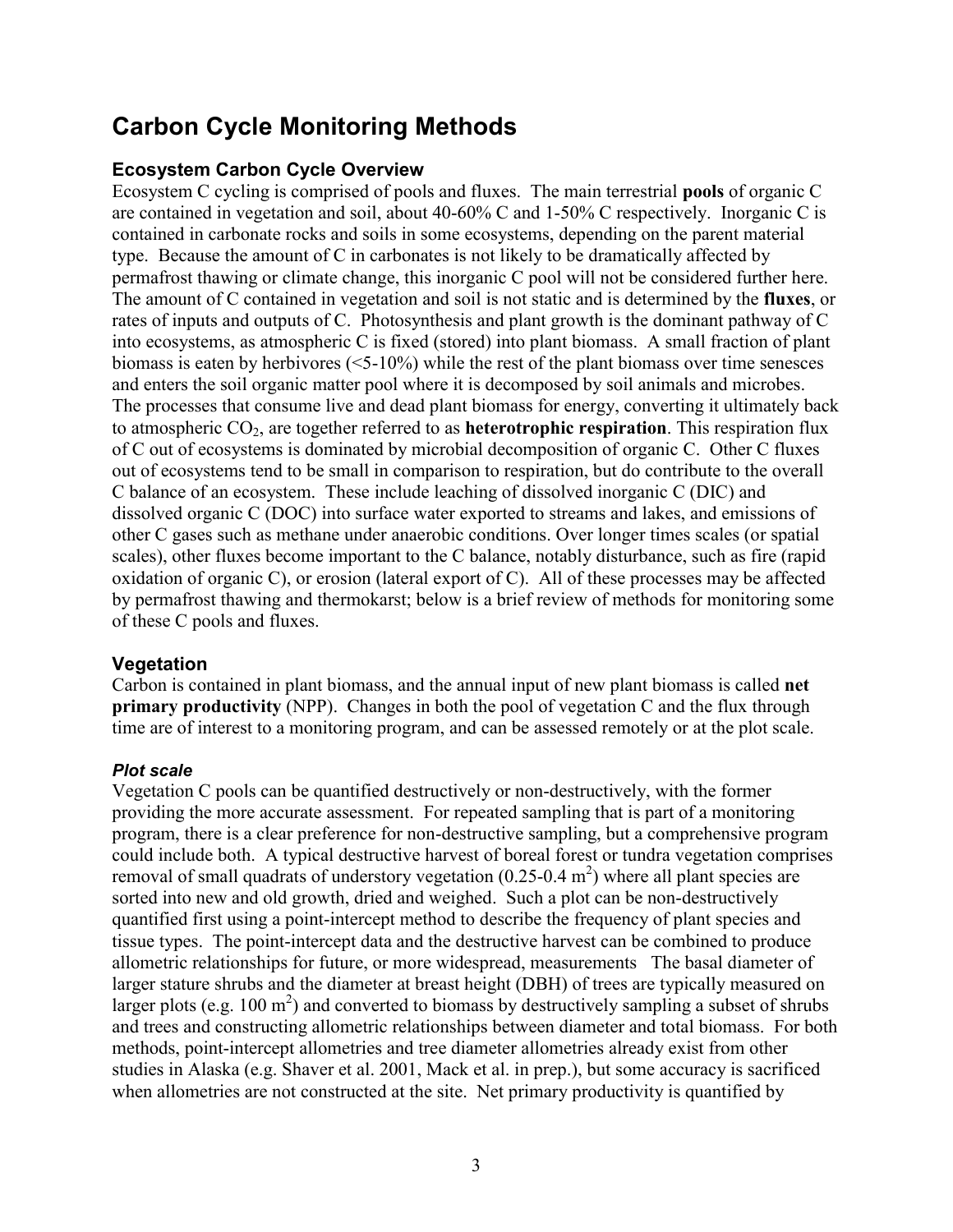## <span id="page-12-0"></span>**Carbon Cycle Monitoring Methods**

## <span id="page-12-1"></span>**Ecosystem Carbon Cycle Overview**

Ecosystem C cycling is comprised of pools and fluxes. The main terrestrial **pools** of organic C are contained in vegetation and soil, about 40-60% C and 1-50% C respectively. Inorganic C is contained in carbonate rocks and soils in some ecosystems, depending on the parent material type. Because the amount of C in carbonates is not likely to be dramatically affected by permafrost thawing or climate change, this inorganic C pool will not be considered further here. The amount of C contained in vegetation and soil is not static and is determined by the **fluxes**, or rates of inputs and outputs of C. Photosynthesis and plant growth is the dominant pathway of C into ecosystems, as atmospheric C is fixed (stored) into plant biomass. A small fraction of plant biomass is eaten by herbivores (<5-10%) while the rest of the plant biomass over time senesces and enters the soil organic matter pool where it is decomposed by soil animals and microbes. The processes that consume live and dead plant biomass for energy, converting it ultimately back to atmospheric CO2, are together referred to as **heterotrophic respiration**. This respiration flux of C out of ecosystems is dominated by microbial decomposition of organic C. Other C fluxes out of ecosystems tend to be small in comparison to respiration, but do contribute to the overall C balance of an ecosystem. These include leaching of dissolved inorganic C (DIC) and dissolved organic C (DOC) into surface water exported to streams and lakes, and emissions of other C gases such as methane under anaerobic conditions. Over longer times scales (or spatial scales), other fluxes become important to the C balance, notably disturbance, such as fire (rapid oxidation of organic C), or erosion (lateral export of C). All of these processes may be affected by permafrost thawing and thermokarst; below is a brief review of methods for monitoring some of these C pools and fluxes.

## <span id="page-12-2"></span>**Vegetation**

Carbon is contained in plant biomass, and the annual input of new plant biomass is called **net primary productivity** (NPP). Changes in both the pool of vegetation C and the flux through time are of interest to a monitoring program, and can be assessed remotely or at the plot scale.

## <span id="page-12-3"></span>*Plot scale*

Vegetation C pools can be quantified destructively or non-destructively, with the former providing the more accurate assessment. For repeated sampling that is part of a monitoring program, there is a clear preference for non-destructive sampling, but a comprehensive program could include both. A typical destructive harvest of boreal forest or tundra vegetation comprises removal of small quadrats of understory vegetation  $(0.25{\text -}0.4 \text{ m}^2)$  where all plant species are sorted into new and old growth, dried and weighed. Such a plot can be non-destructively quantified first using a point-intercept method to describe the frequency of plant species and tissue types. The point-intercept data and the destructive harvest can be combined to produce allometric relationships for future, or more widespread, measurements The basal diameter of larger stature shrubs and the diameter at breast height (DBH) of trees are typically measured on larger plots (e.g. 100  $m^2$ ) and converted to biomass by destructively sampling a subset of shrubs and trees and constructing allometric relationships between diameter and total biomass. For both methods, point-intercept allometries and tree diameter allometries already exist from other studies in Alaska (e.g. Shaver et al. 2001, Mack et al. in prep.), but some accuracy is sacrificed when allometries are not constructed at the site. Net primary productivity is quantified by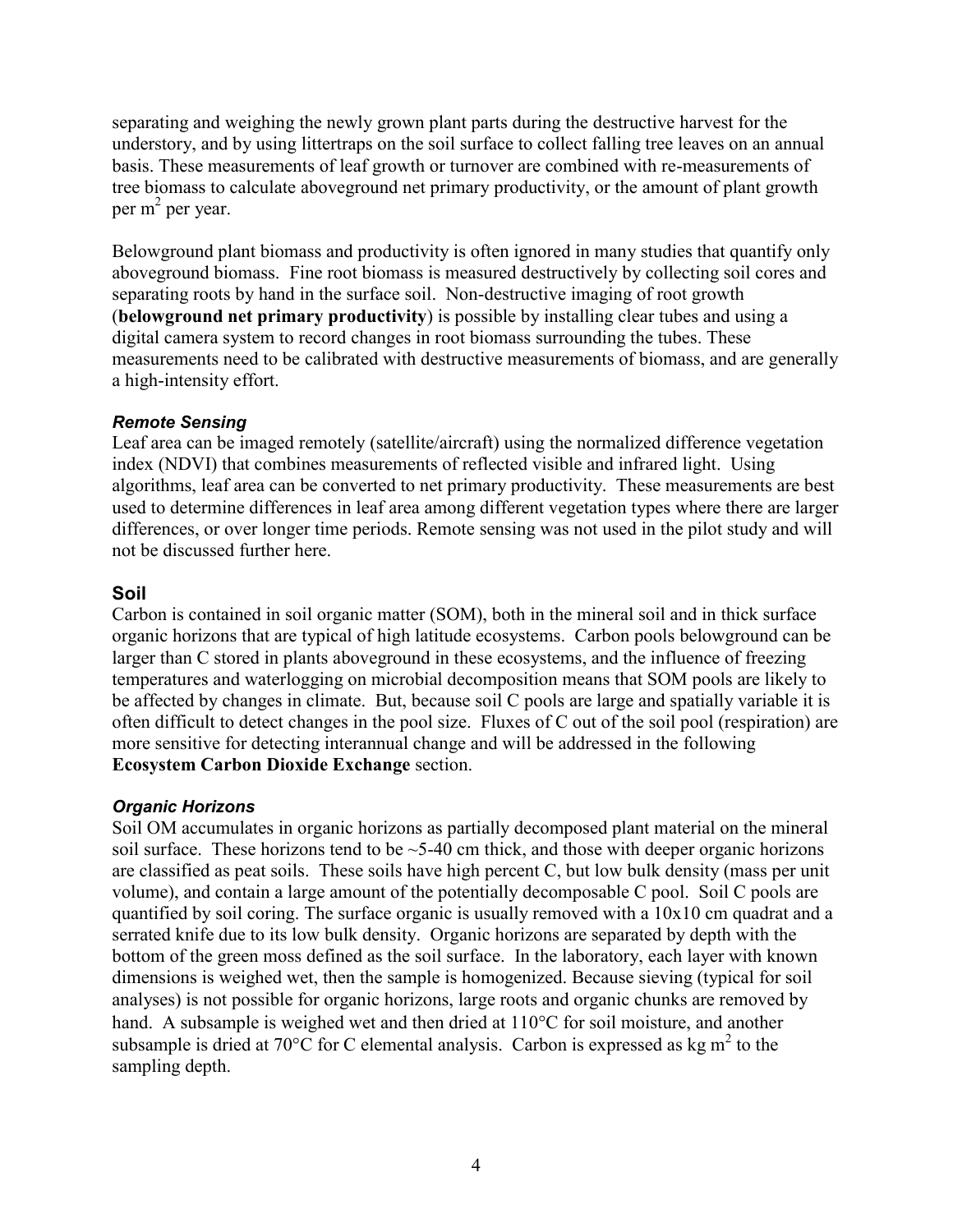separating and weighing the newly grown plant parts during the destructive harvest for the understory, and by using littertraps on the soil surface to collect falling tree leaves on an annual basis. These measurements of leaf growth or turnover are combined with re-measurements of tree biomass to calculate aboveground net primary productivity, or the amount of plant growth per m<sup>2</sup> per year.

Belowground plant biomass and productivity is often ignored in many studies that quantify only aboveground biomass. Fine root biomass is measured destructively by collecting soil cores and separating roots by hand in the surface soil. Non-destructive imaging of root growth (**belowground net primary productivity**) is possible by installing clear tubes and using a digital camera system to record changes in root biomass surrounding the tubes. These measurements need to be calibrated with destructive measurements of biomass, and are generally a high-intensity effort.

### <span id="page-13-0"></span>*Remote Sensing*

Leaf area can be imaged remotely (satellite/aircraft) using the normalized difference vegetation index (NDVI) that combines measurements of reflected visible and infrared light. Using algorithms, leaf area can be converted to net primary productivity. These measurements are best used to determine differences in leaf area among different vegetation types where there are larger differences, or over longer time periods. Remote sensing was not used in the pilot study and will not be discussed further here.

### <span id="page-13-1"></span>**Soil**

Carbon is contained in soil organic matter (SOM), both in the mineral soil and in thick surface organic horizons that are typical of high latitude ecosystems. Carbon pools belowground can be larger than C stored in plants aboveground in these ecosystems, and the influence of freezing temperatures and waterlogging on microbial decomposition means that SOM pools are likely to be affected by changes in climate. But, because soil C pools are large and spatially variable it is often difficult to detect changes in the pool size. Fluxes of C out of the soil pool (respiration) are more sensitive for detecting interannual change and will be addressed in the following **Ecosystem Carbon Dioxide Exchange** section.

### <span id="page-13-2"></span>*Organic Horizons*

Soil OM accumulates in organic horizons as partially decomposed plant material on the mineral soil surface. These horizons tend to be  $\sim$  5-40 cm thick, and those with deeper organic horizons are classified as peat soils. These soils have high percent C, but low bulk density (mass per unit volume), and contain a large amount of the potentially decomposable C pool. Soil C pools are quantified by soil coring. The surface organic is usually removed with a 10x10 cm quadrat and a serrated knife due to its low bulk density. Organic horizons are separated by depth with the bottom of the green moss defined as the soil surface. In the laboratory, each layer with known dimensions is weighed wet, then the sample is homogenized. Because sieving (typical for soil analyses) is not possible for organic horizons, large roots and organic chunks are removed by hand. A subsample is weighed wet and then dried at  $110^{\circ}$ C for soil moisture, and another subsample is dried at 70 $\degree$ C for C elemental analysis. Carbon is expressed as kg m<sup>2</sup> to the sampling depth.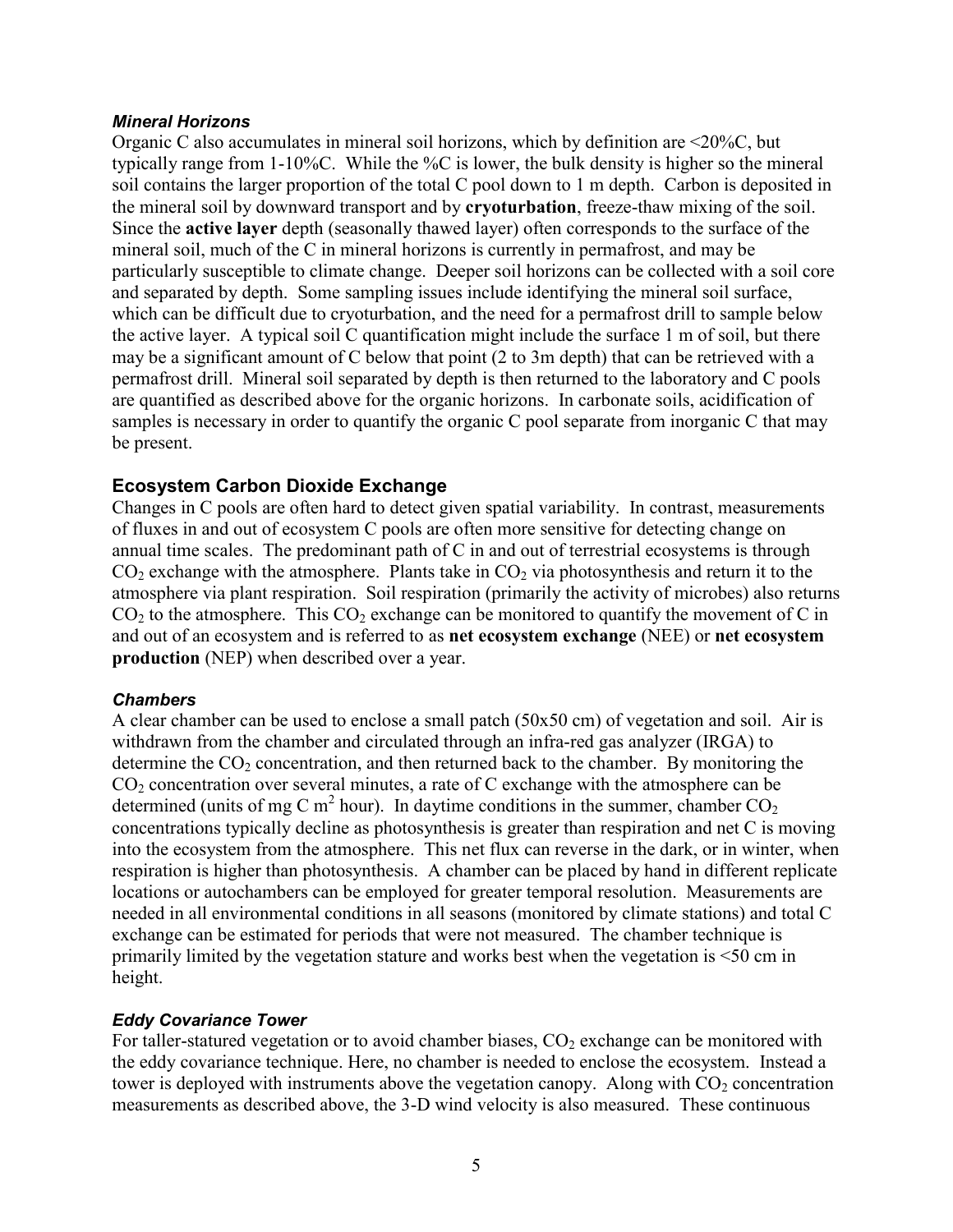#### <span id="page-14-0"></span>*Mineral Horizons*

Organic C also accumulates in mineral soil horizons, which by definition are <20%C, but typically range from 1-10%C. While the %C is lower, the bulk density is higher so the mineral soil contains the larger proportion of the total C pool down to 1 m depth. Carbon is deposited in the mineral soil by downward transport and by **cryoturbation**, freeze-thaw mixing of the soil. Since the **active layer** depth (seasonally thawed layer) often corresponds to the surface of the mineral soil, much of the C in mineral horizons is currently in permafrost, and may be particularly susceptible to climate change. Deeper soil horizons can be collected with a soil core and separated by depth. Some sampling issues include identifying the mineral soil surface, which can be difficult due to cryoturbation, and the need for a permafrost drill to sample below the active layer. A typical soil C quantification might include the surface 1 m of soil, but there may be a significant amount of C below that point (2 to 3m depth) that can be retrieved with a permafrost drill. Mineral soil separated by depth is then returned to the laboratory and C pools are quantified as described above for the organic horizons. In carbonate soils, acidification of samples is necessary in order to quantify the organic C pool separate from inorganic C that may be present.

### <span id="page-14-1"></span>**Ecosystem Carbon Dioxide Exchange**

Changes in C pools are often hard to detect given spatial variability. In contrast, measurements of fluxes in and out of ecosystem C pools are often more sensitive for detecting change on annual time scales. The predominant path of C in and out of terrestrial ecosystems is through  $CO<sub>2</sub>$  exchange with the atmosphere. Plants take in  $CO<sub>2</sub>$  via photosynthesis and return it to the atmosphere via plant respiration. Soil respiration (primarily the activity of microbes) also returns  $CO<sub>2</sub>$  to the atmosphere. This  $CO<sub>2</sub>$  exchange can be monitored to quantify the movement of C in and out of an ecosystem and is referred to as **net ecosystem exchange** (NEE) or **net ecosystem production** (NEP) when described over a year.

### <span id="page-14-2"></span>*Chambers*

A clear chamber can be used to enclose a small patch (50x50 cm) of vegetation and soil. Air is withdrawn from the chamber and circulated through an infra-red gas analyzer (IRGA) to determine the  $CO<sub>2</sub>$  concentration, and then returned back to the chamber. By monitoring the  $CO<sub>2</sub>$  concentration over several minutes, a rate of C exchange with the atmosphere can be determined (units of mg C m<sup>2</sup> hour). In daytime conditions in the summer, chamber  $CO<sub>2</sub>$ concentrations typically decline as photosynthesis is greater than respiration and net C is moving into the ecosystem from the atmosphere. This net flux can reverse in the dark, or in winter, when respiration is higher than photosynthesis. A chamber can be placed by hand in different replicate locations or autochambers can be employed for greater temporal resolution. Measurements are needed in all environmental conditions in all seasons (monitored by climate stations) and total C exchange can be estimated for periods that were not measured. The chamber technique is primarily limited by the vegetation stature and works best when the vegetation is <50 cm in height.

## <span id="page-14-3"></span>*Eddy Covariance Tower*

For taller-statured vegetation or to avoid chamber biases,  $CO<sub>2</sub>$  exchange can be monitored with the eddy covariance technique. Here, no chamber is needed to enclose the ecosystem. Instead a tower is deployed with instruments above the vegetation canopy. Along with  $CO<sub>2</sub>$  concentration measurements as described above, the 3-D wind velocity is also measured. These continuous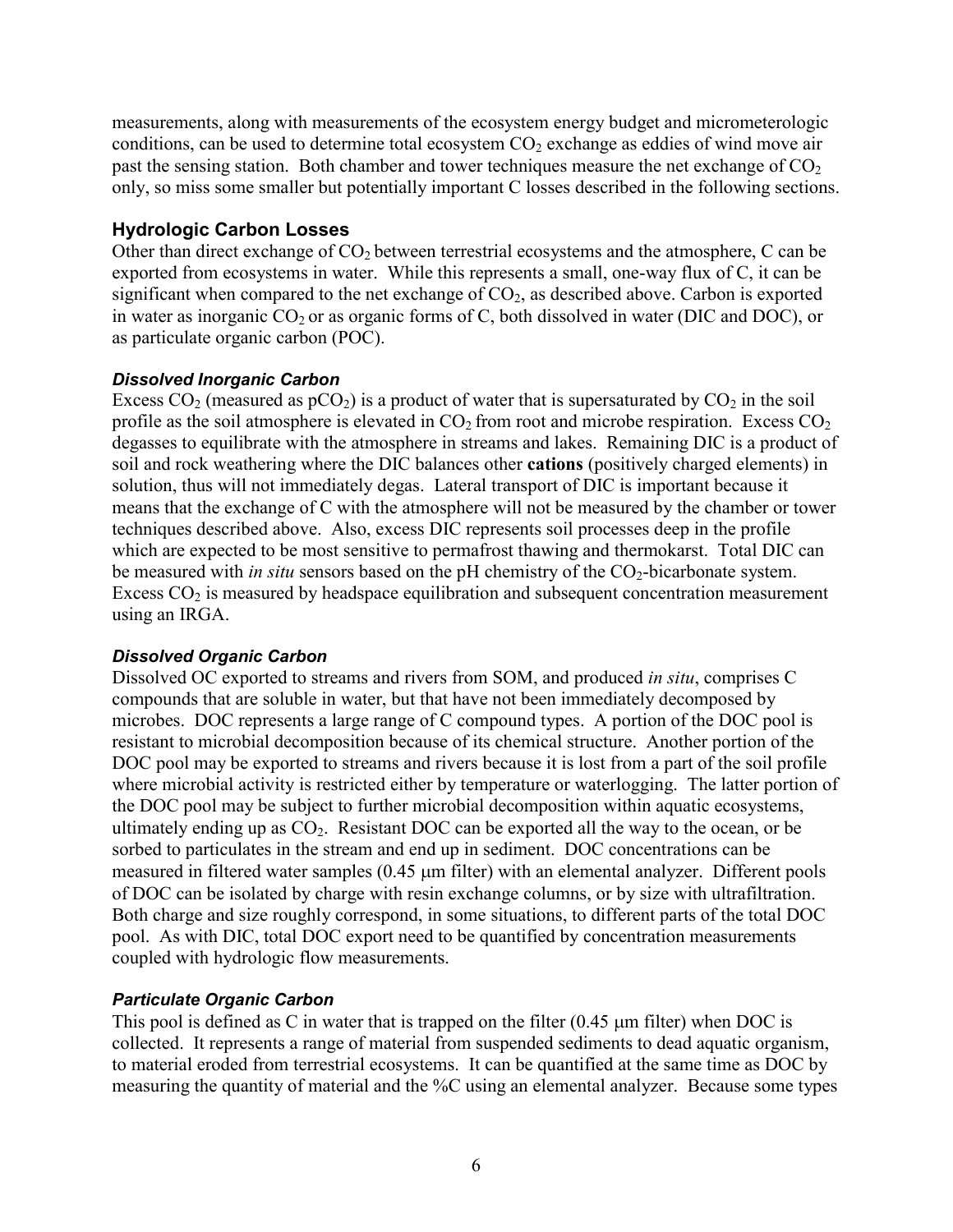measurements, along with measurements of the ecosystem energy budget and micrometerologic conditions, can be used to determine total ecosystem  $CO<sub>2</sub>$  exchange as eddies of wind move air past the sensing station. Both chamber and tower techniques measure the net exchange of  $CO<sub>2</sub>$ only, so miss some smaller but potentially important C losses described in the following sections.

## <span id="page-15-0"></span>**Hydrologic Carbon Losses**

Other than direct exchange of  $CO<sub>2</sub>$  between terrestrial ecosystems and the atmosphere, C can be exported from ecosystems in water. While this represents a small, one-way flux of C, it can be significant when compared to the net exchange of  $CO<sub>2</sub>$ , as described above. Carbon is exported in water as inorganic  $CO_2$  or as organic forms of C, both dissolved in water (DIC and DOC), or as particulate organic carbon (POC).

## <span id="page-15-1"></span>*Dissolved Inorganic Carbon*

Excess  $CO_2$  (measured as  $pCO_2$ ) is a product of water that is supersaturated by  $CO_2$  in the soil profile as the soil atmosphere is elevated in  $CO<sub>2</sub>$  from root and microbe respiration. Excess  $CO<sub>2</sub>$ degasses to equilibrate with the atmosphere in streams and lakes. Remaining DIC is a product of soil and rock weathering where the DIC balances other **cations** (positively charged elements) in solution, thus will not immediately degas. Lateral transport of DIC is important because it means that the exchange of C with the atmosphere will not be measured by the chamber or tower techniques described above. Also, excess DIC represents soil processes deep in the profile which are expected to be most sensitive to permafrost thawing and thermokarst. Total DIC can be measured with *in situ* sensors based on the pH chemistry of the CO<sub>2</sub>-bicarbonate system. Excess  $CO<sub>2</sub>$  is measured by headspace equilibration and subsequent concentration measurement using an IRGA.

## <span id="page-15-2"></span>*Dissolved Organic Carbon*

Dissolved OC exported to streams and rivers from SOM, and produced *in situ*, comprises C compounds that are soluble in water, but that have not been immediately decomposed by microbes. DOC represents a large range of C compound types. A portion of the DOC pool is resistant to microbial decomposition because of its chemical structure. Another portion of the DOC pool may be exported to streams and rivers because it is lost from a part of the soil profile where microbial activity is restricted either by temperature or waterlogging. The latter portion of the DOC pool may be subject to further microbial decomposition within aquatic ecosystems, ultimately ending up as  $CO<sub>2</sub>$ . Resistant DOC can be exported all the way to the ocean, or be sorbed to particulates in the stream and end up in sediment. DOC concentrations can be measured in filtered water samples (0.45 µm filter) with an elemental analyzer. Different pools of DOC can be isolated by charge with resin exchange columns, or by size with ultrafiltration. Both charge and size roughly correspond, in some situations, to different parts of the total DOC pool. As with DIC, total DOC export need to be quantified by concentration measurements coupled with hydrologic flow measurements.

## <span id="page-15-3"></span>*Particulate Organic Carbon*

This pool is defined as C in water that is trapped on the filter  $(0.45 \mu m)$  filter) when DOC is collected. It represents a range of material from suspended sediments to dead aquatic organism, to material eroded from terrestrial ecosystems. It can be quantified at the same time as DOC by measuring the quantity of material and the %C using an elemental analyzer. Because some types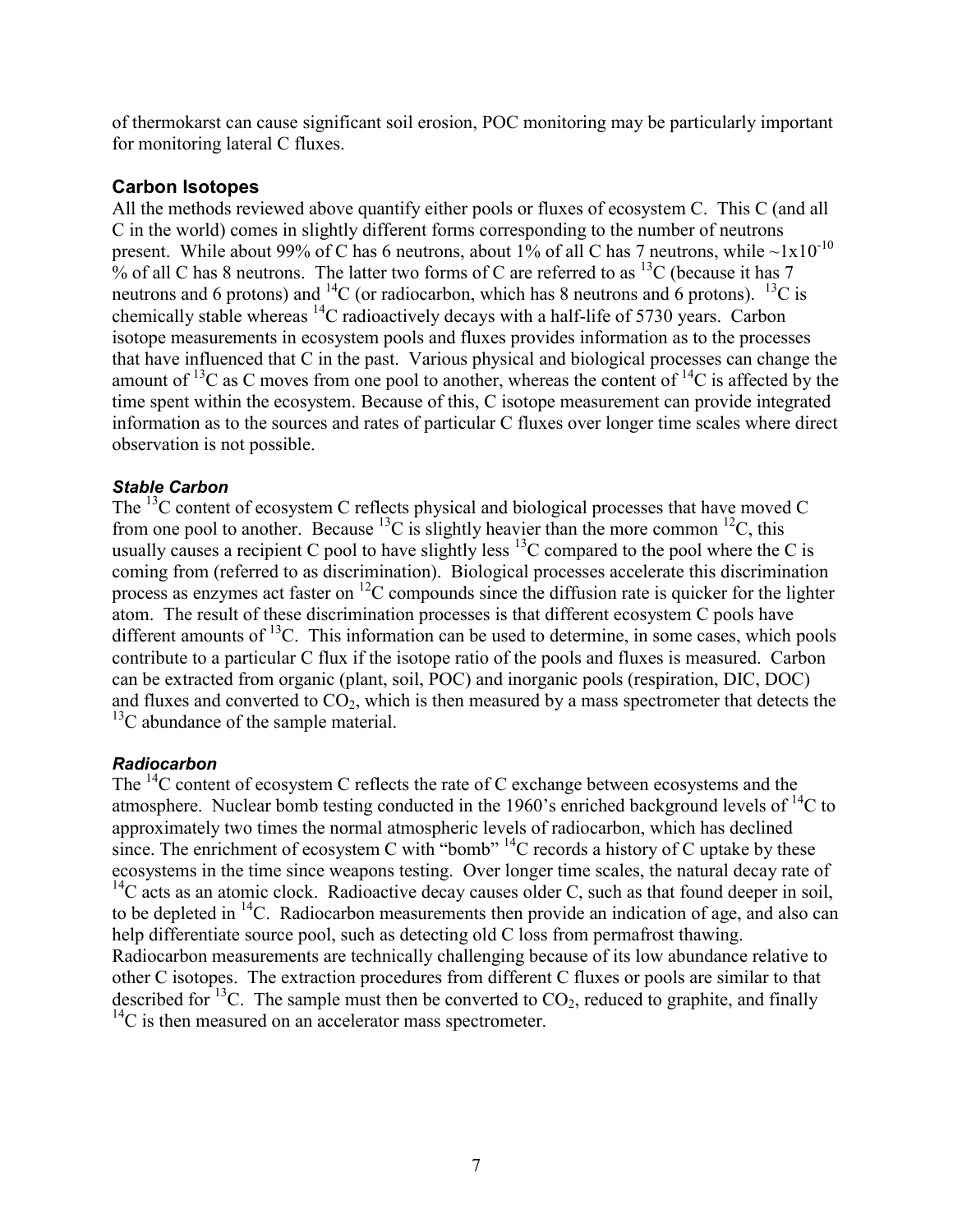of thermokarst can cause significant soil erosion, POC monitoring may be particularly important for monitoring lateral C fluxes.

## <span id="page-16-0"></span>**Carbon Isotopes**

All the methods reviewed above quantify either pools or fluxes of ecosystem C. This C (and all C in the world) comes in slightly different forms corresponding to the number of neutrons present. While about 99% of C has 6 neutrons, about 1% of all C has 7 neutrons, while  $\sim 1x10^{-10}$ % of all C has 8 neutrons. The latter two forms of C are referred to as  $^{13}$ C (because it has 7 neutrons and 6 protons) and  ${}^{14}C$  (or radiocarbon, which has 8 neutrons and 6 protons).  ${}^{13}C$  is chemically stable whereas  ${}^{14}C$  radioactively decays with a half-life of 5730 years. Carbon isotope measurements in ecosystem pools and fluxes provides information as to the processes that have influenced that C in the past. Various physical and biological processes can change the amount of <sup>13</sup>C as C moves from one pool to another, whereas the content of <sup>14</sup>C is affected by the time spent within the ecosystem. Because of this, C isotope measurement can provide integrated information as to the sources and rates of particular C fluxes over longer time scales where direct observation is not possible.

### <span id="page-16-1"></span>*Stable Carbon*

The <sup>13</sup>C content of ecosystem C reflects physical and biological processes that have moved C from one pool to another. Because <sup>13</sup>C is slightly heavier than the more common <sup>12</sup>C, this usually causes a recipient C pool to have slightly less  $^{13}$ C compared to the pool where the C is coming from (referred to as discrimination). Biological processes accelerate this discrimination process as enzymes act faster on <sup>12</sup>C compounds since the diffusion rate is quicker for the lighter atom. The result of these discrimination processes is that different ecosystem C pools have different amounts of  ${}^{13}C$ . This information can be used to determine, in some cases, which pools contribute to a particular C flux if the isotope ratio of the pools and fluxes is measured. Carbon can be extracted from organic (plant, soil, POC) and inorganic pools (respiration, DIC, DOC) and fluxes and converted to  $CO<sub>2</sub>$ , which is then measured by a mass spectrometer that detects the  $13<sup>13</sup>C$  abundance of the sample material.

### <span id="page-16-2"></span>*Radiocarbon*

The  $^{14}$ C content of ecosystem C reflects the rate of C exchange between ecosystems and the atmosphere. Nuclear bomb testing conducted in the 1960's enriched background levels of  ${}^{14}C$  to approximately two times the normal atmospheric levels of radiocarbon, which has declined since. The enrichment of ecosystem C with "bomb"  ${}^{14}C$  records a history of C uptake by these ecosystems in the time since weapons testing. Over longer time scales, the natural decay rate of  $14C$  acts as an atomic clock. Radioactive decay causes older C, such as that found deeper in soil, to be depleted in  $^{14}$ C. Radiocarbon measurements then provide an indication of age, and also can help differentiate source pool, such as detecting old C loss from permafrost thawing. Radiocarbon measurements are technically challenging because of its low abundance relative to other C isotopes. The extraction procedures from different C fluxes or pools are similar to that described for <sup>13</sup>C. The sample must then be converted to  $CO<sub>2</sub>$ , reduced to graphite, and finally  $^{14}$ C is then measured on an accelerator mass spectrometer.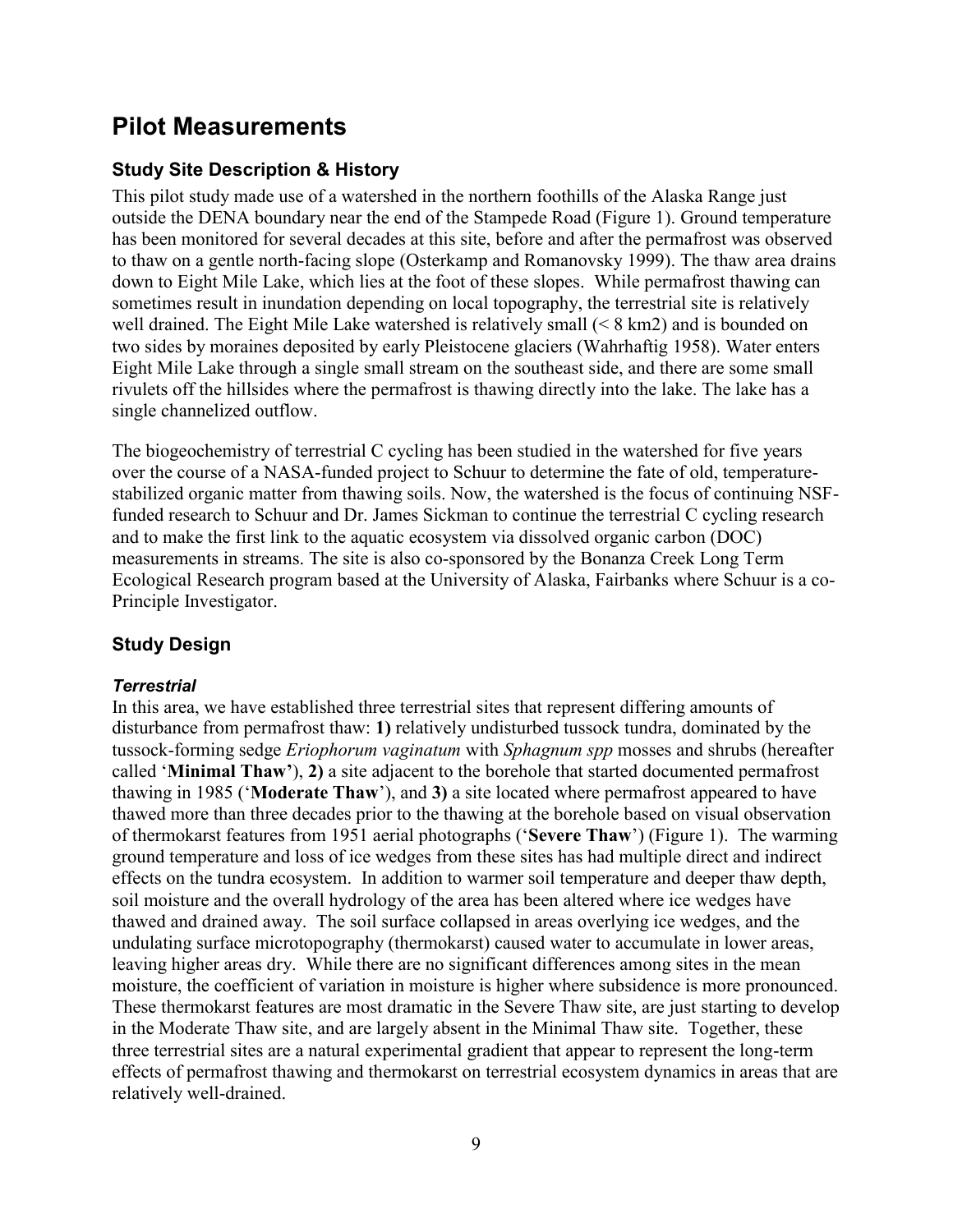## <span id="page-18-0"></span>**Pilot Measurements**

## <span id="page-18-1"></span>**Study Site Description & History**

This pilot study made use of a watershed in the northern foothills of the Alaska Range just outside the DENA boundary near the end of the Stampede Road (Figure 1). Ground temperature has been monitored for several decades at this site, before and after the permafrost was observed to thaw on a gentle north-facing slope (Osterkamp and Romanovsky 1999). The thaw area drains down to Eight Mile Lake, which lies at the foot of these slopes. While permafrost thawing can sometimes result in inundation depending on local topography, the terrestrial site is relatively well drained. The Eight Mile Lake watershed is relatively small (< 8 km2) and is bounded on two sides by moraines deposited by early Pleistocene glaciers (Wahrhaftig 1958). Water enters Eight Mile Lake through a single small stream on the southeast side, and there are some small rivulets off the hillsides where the permafrost is thawing directly into the lake. The lake has a single channelized outflow.

The biogeochemistry of terrestrial C cycling has been studied in the watershed for five years over the course of a NASA-funded project to Schuur to determine the fate of old, temperaturestabilized organic matter from thawing soils. Now, the watershed is the focus of continuing NSFfunded research to Schuur and Dr. James Sickman to continue the terrestrial C cycling research and to make the first link to the aquatic ecosystem via dissolved organic carbon (DOC) measurements in streams. The site is also co-sponsored by the Bonanza Creek Long Term Ecological Research program based at the University of Alaska, Fairbanks where Schuur is a co-Principle Investigator.

## <span id="page-18-2"></span>**Study Design**

### <span id="page-18-3"></span>*Terrestrial*

In this area, we have established three terrestrial sites that represent differing amounts of disturbance from permafrost thaw: **1)** relatively undisturbed tussock tundra, dominated by the tussock-forming sedge *Eriophorum vaginatum* with *Sphagnum spp* mosses and shrubs (hereafter called "**Minimal Thaw'**), **2)** a site adjacent to the borehole that started documented permafrost thawing in 1985 ("**Moderate Thaw**"), and **3)** a site located where permafrost appeared to have thawed more than three decades prior to the thawing at the borehole based on visual observation of thermokarst features from 1951 aerial photographs ("**Severe Thaw**") (Figure 1). The warming ground temperature and loss of ice wedges from these sites has had multiple direct and indirect effects on the tundra ecosystem. In addition to warmer soil temperature and deeper thaw depth, soil moisture and the overall hydrology of the area has been altered where ice wedges have thawed and drained away. The soil surface collapsed in areas overlying ice wedges, and the undulating surface microtopography (thermokarst) caused water to accumulate in lower areas, leaving higher areas dry. While there are no significant differences among sites in the mean moisture, the coefficient of variation in moisture is higher where subsidence is more pronounced. These thermokarst features are most dramatic in the Severe Thaw site, are just starting to develop in the Moderate Thaw site, and are largely absent in the Minimal Thaw site. Together, these three terrestrial sites are a natural experimental gradient that appear to represent the long-term effects of permafrost thawing and thermokarst on terrestrial ecosystem dynamics in areas that are relatively well-drained.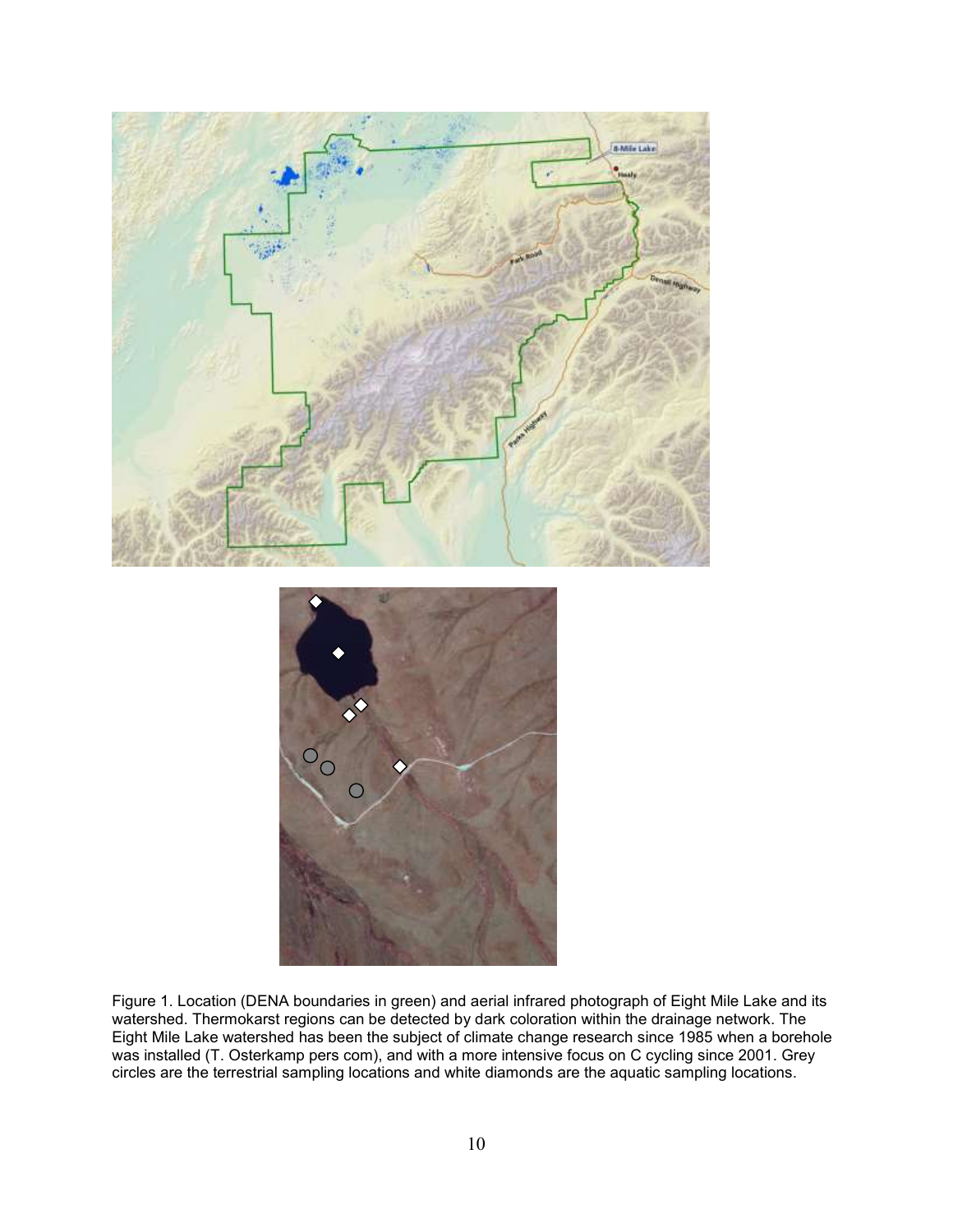

<span id="page-19-0"></span>Figure 1. Location (DENA boundaries in green) and aerial infrared photograph of Eight Mile Lake and its watershed. Thermokarst regions can be detected by dark coloration within the drainage network. The Eight Mile Lake watershed has been the subject of climate change research since 1985 when a borehole was installed (T. Osterkamp pers com), and with a more intensive focus on C cycling since 2001. Grey circles are the terrestrial sampling locations and white diamonds are the aquatic sampling locations.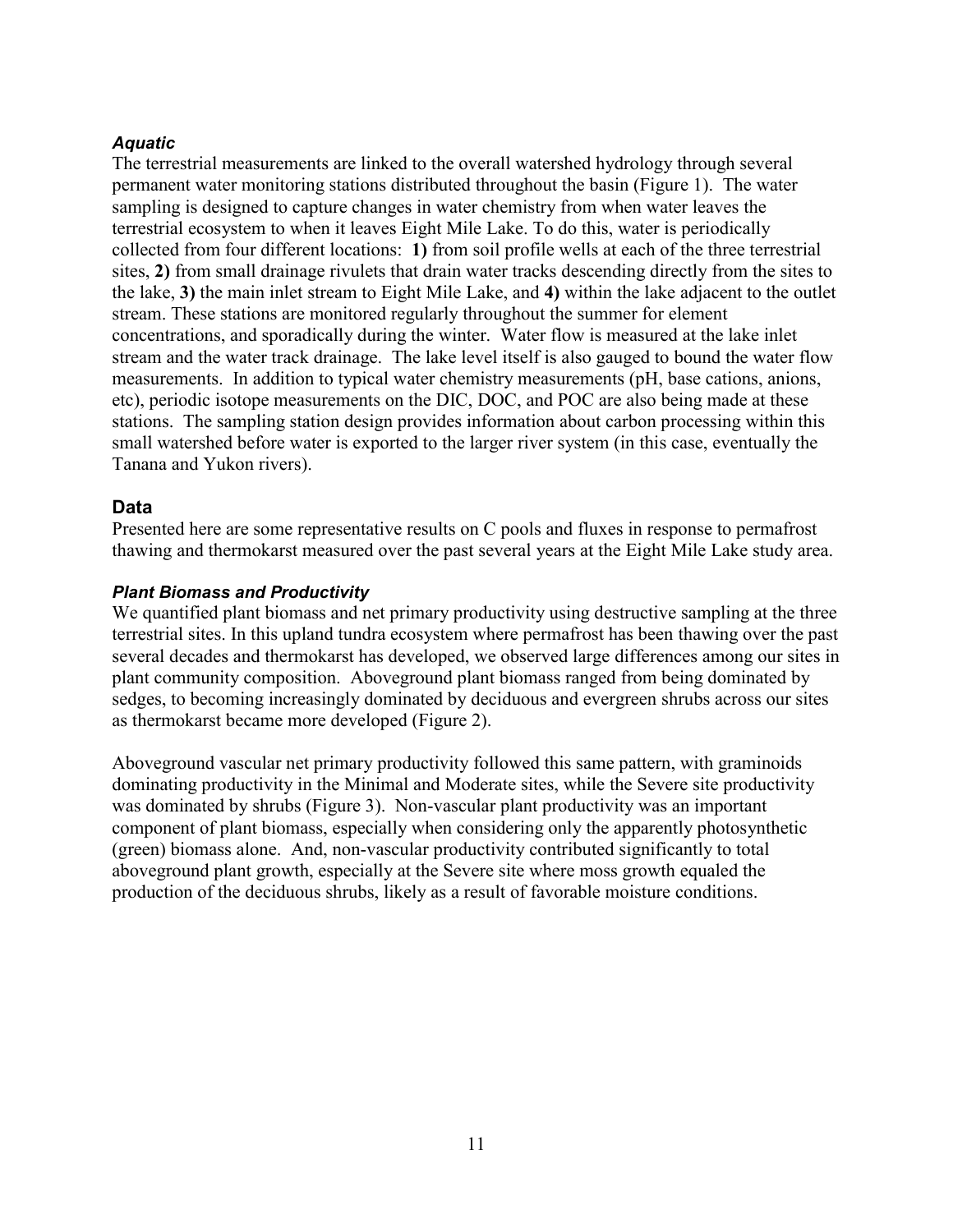### <span id="page-20-0"></span>*Aquatic*

The terrestrial measurements are linked to the overall watershed hydrology through several permanent water monitoring stations distributed throughout the basin (Figure 1). The water sampling is designed to capture changes in water chemistry from when water leaves the terrestrial ecosystem to when it leaves Eight Mile Lake. To do this, water is periodically collected from four different locations: **1)** from soil profile wells at each of the three terrestrial sites, **2)** from small drainage rivulets that drain water tracks descending directly from the sites to the lake, **3)** the main inlet stream to Eight Mile Lake, and **4)** within the lake adjacent to the outlet stream. These stations are monitored regularly throughout the summer for element concentrations, and sporadically during the winter. Water flow is measured at the lake inlet stream and the water track drainage. The lake level itself is also gauged to bound the water flow measurements. In addition to typical water chemistry measurements (pH, base cations, anions, etc), periodic isotope measurements on the DIC, DOC, and POC are also being made at these stations. The sampling station design provides information about carbon processing within this small watershed before water is exported to the larger river system (in this case, eventually the Tanana and Yukon rivers).

## <span id="page-20-1"></span>**Data**

Presented here are some representative results on C pools and fluxes in response to permafrost thawing and thermokarst measured over the past several years at the Eight Mile Lake study area.

### <span id="page-20-2"></span>*Plant Biomass and Productivity*

We quantified plant biomass and net primary productivity using destructive sampling at the three terrestrial sites. In this upland tundra ecosystem where permafrost has been thawing over the past several decades and thermokarst has developed, we observed large differences among our sites in plant community composition. Aboveground plant biomass ranged from being dominated by sedges, to becoming increasingly dominated by deciduous and evergreen shrubs across our sites as thermokarst became more developed (Figure 2).

Aboveground vascular net primary productivity followed this same pattern, with graminoids dominating productivity in the Minimal and Moderate sites, while the Severe site productivity was dominated by shrubs (Figure 3). Non-vascular plant productivity was an important component of plant biomass, especially when considering only the apparently photosynthetic (green) biomass alone. And, non-vascular productivity contributed significantly to total aboveground plant growth, especially at the Severe site where moss growth equaled the production of the deciduous shrubs, likely as a result of favorable moisture conditions.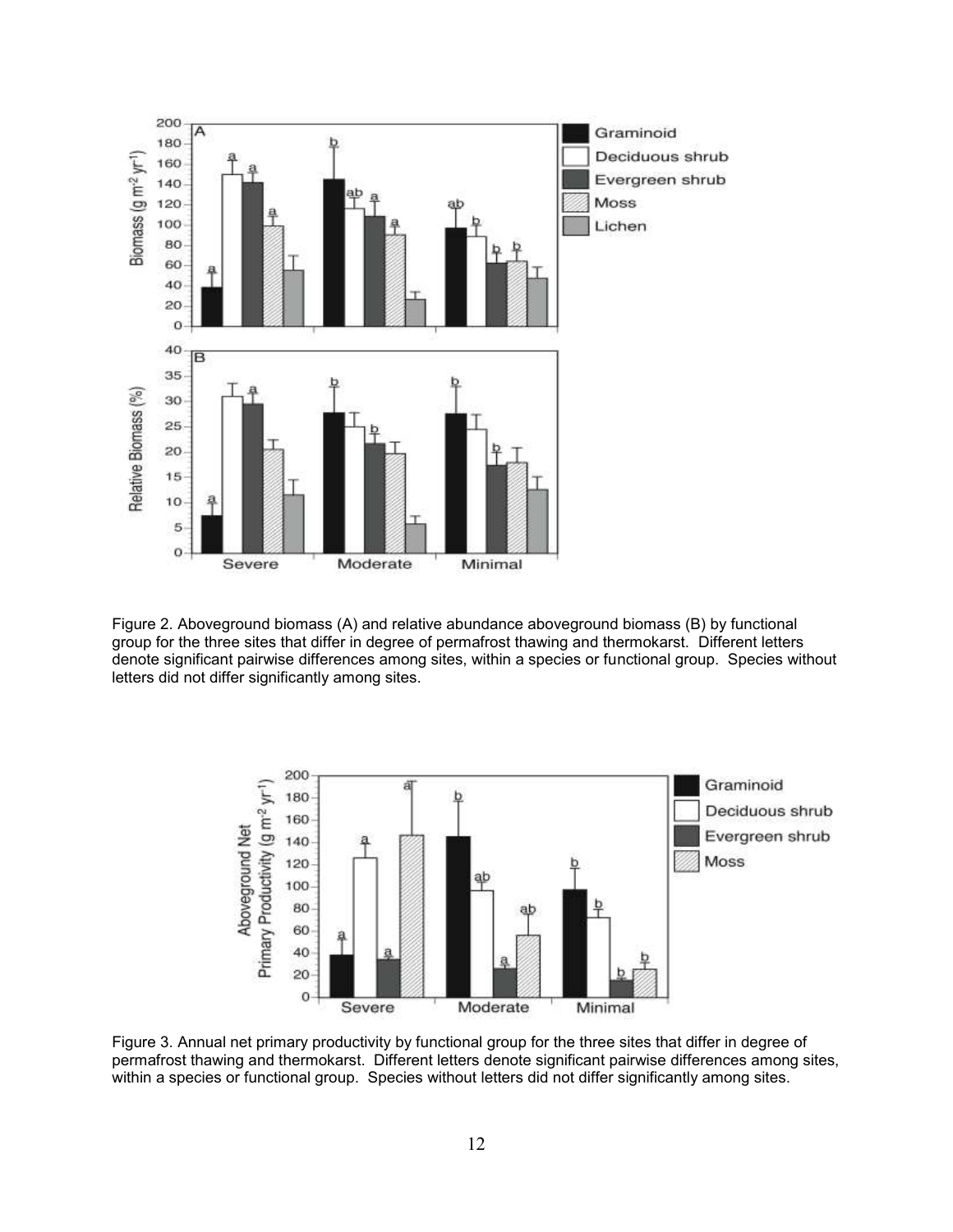

<span id="page-21-0"></span>Figure 2. Aboveground biomass (A) and relative abundance aboveground biomass (B) by functional group for the three sites that differ in degree of permafrost thawing and thermokarst. Different letters denote significant pairwise differences among sites, within a species or functional group. Species without letters did not differ significantly among sites.



<span id="page-21-1"></span>Figure 3. Annual net primary productivity by functional group for the three sites that differ in degree of permafrost thawing and thermokarst. Different letters denote significant pairwise differences among sites, within a species or functional group. Species without letters did not differ significantly among sites.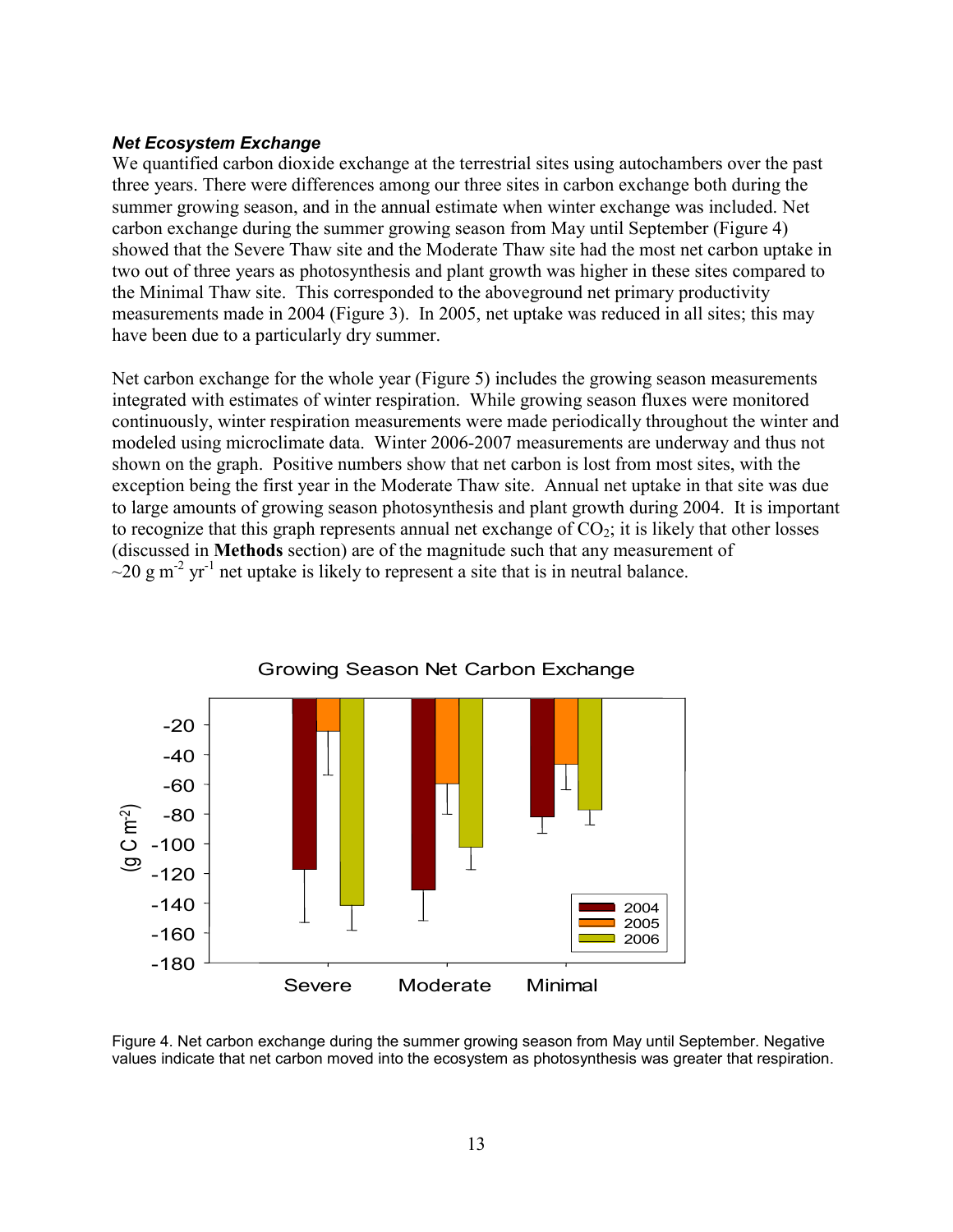#### <span id="page-22-0"></span>*Net Ecosystem Exchange*

We quantified carbon dioxide exchange at the terrestrial sites using autochambers over the past three years. There were differences among our three sites in carbon exchange both during the summer growing season, and in the annual estimate when winter exchange was included. Net carbon exchange during the summer growing season from May until September (Figure 4) showed that the Severe Thaw site and the Moderate Thaw site had the most net carbon uptake in two out of three years as photosynthesis and plant growth was higher in these sites compared to the Minimal Thaw site. This corresponded to the aboveground net primary productivity measurements made in 2004 (Figure 3). In 2005, net uptake was reduced in all sites; this may have been due to a particularly dry summer.

Net carbon exchange for the whole year (Figure 5) includes the growing season measurements integrated with estimates of winter respiration. While growing season fluxes were monitored continuously, winter respiration measurements were made periodically throughout the winter and modeled using microclimate data. Winter 2006-2007 measurements are underway and thus not shown on the graph. Positive numbers show that net carbon is lost from most sites, with the exception being the first year in the Moderate Thaw site. Annual net uptake in that site was due to large amounts of growing season photosynthesis and plant growth during 2004. It is important to recognize that this graph represents annual net exchange of  $CO_2$ ; it is likely that other losses (discussed in **Methods** section) are of the magnitude such that any measurement of  $\sim$ 20 g m<sup>-2</sup> yr<sup>-1</sup> net uptake is likely to represent a site that is in neutral balance.



<span id="page-22-1"></span>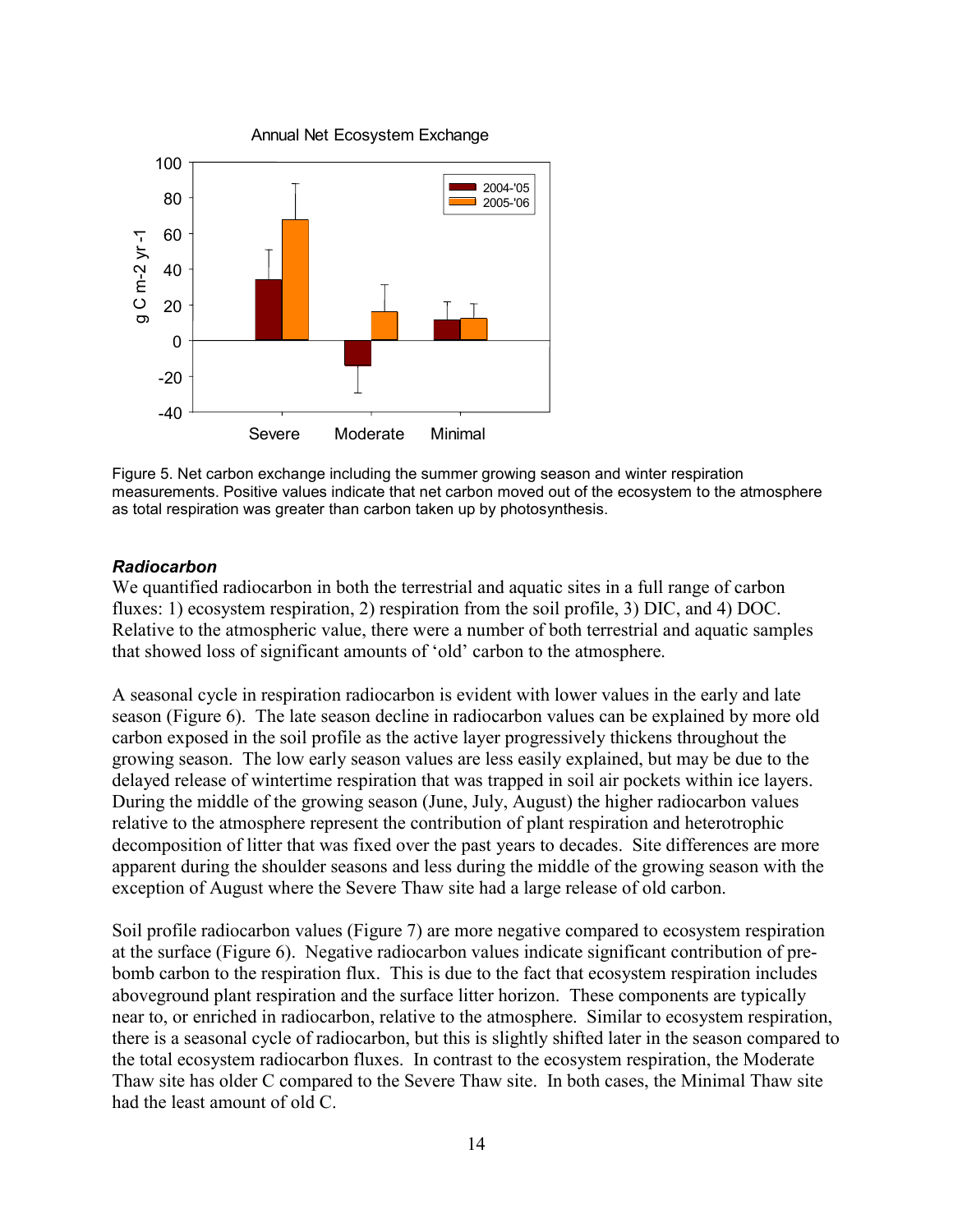

<span id="page-23-1"></span>Figure 5. Net carbon exchange including the summer growing season and winter respiration measurements. Positive values indicate that net carbon moved out of the ecosystem to the atmosphere as total respiration was greater than carbon taken up by photosynthesis.

#### <span id="page-23-0"></span>*Radiocarbon*

We quantified radiocarbon in both the terrestrial and aquatic sites in a full range of carbon fluxes: 1) ecosystem respiration, 2) respiration from the soil profile, 3) DIC, and 4) DOC. Relative to the atmospheric value, there were a number of both terrestrial and aquatic samples that showed loss of significant amounts of "old" carbon to the atmosphere.

A seasonal cycle in respiration radiocarbon is evident with lower values in the early and late season (Figure 6). The late season decline in radiocarbon values can be explained by more old carbon exposed in the soil profile as the active layer progressively thickens throughout the growing season. The low early season values are less easily explained, but may be due to the delayed release of wintertime respiration that was trapped in soil air pockets within ice layers. During the middle of the growing season (June, July, August) the higher radiocarbon values relative to the atmosphere represent the contribution of plant respiration and heterotrophic decomposition of litter that was fixed over the past years to decades. Site differences are more apparent during the shoulder seasons and less during the middle of the growing season with the exception of August where the Severe Thaw site had a large release of old carbon.

Soil profile radiocarbon values (Figure 7) are more negative compared to ecosystem respiration at the surface (Figure 6). Negative radiocarbon values indicate significant contribution of prebomb carbon to the respiration flux. This is due to the fact that ecosystem respiration includes aboveground plant respiration and the surface litter horizon. These components are typically near to, or enriched in radiocarbon, relative to the atmosphere. Similar to ecosystem respiration, there is a seasonal cycle of radiocarbon, but this is slightly shifted later in the season compared to the total ecosystem radiocarbon fluxes. In contrast to the ecosystem respiration, the Moderate Thaw site has older C compared to the Severe Thaw site. In both cases, the Minimal Thaw site had the least amount of old C.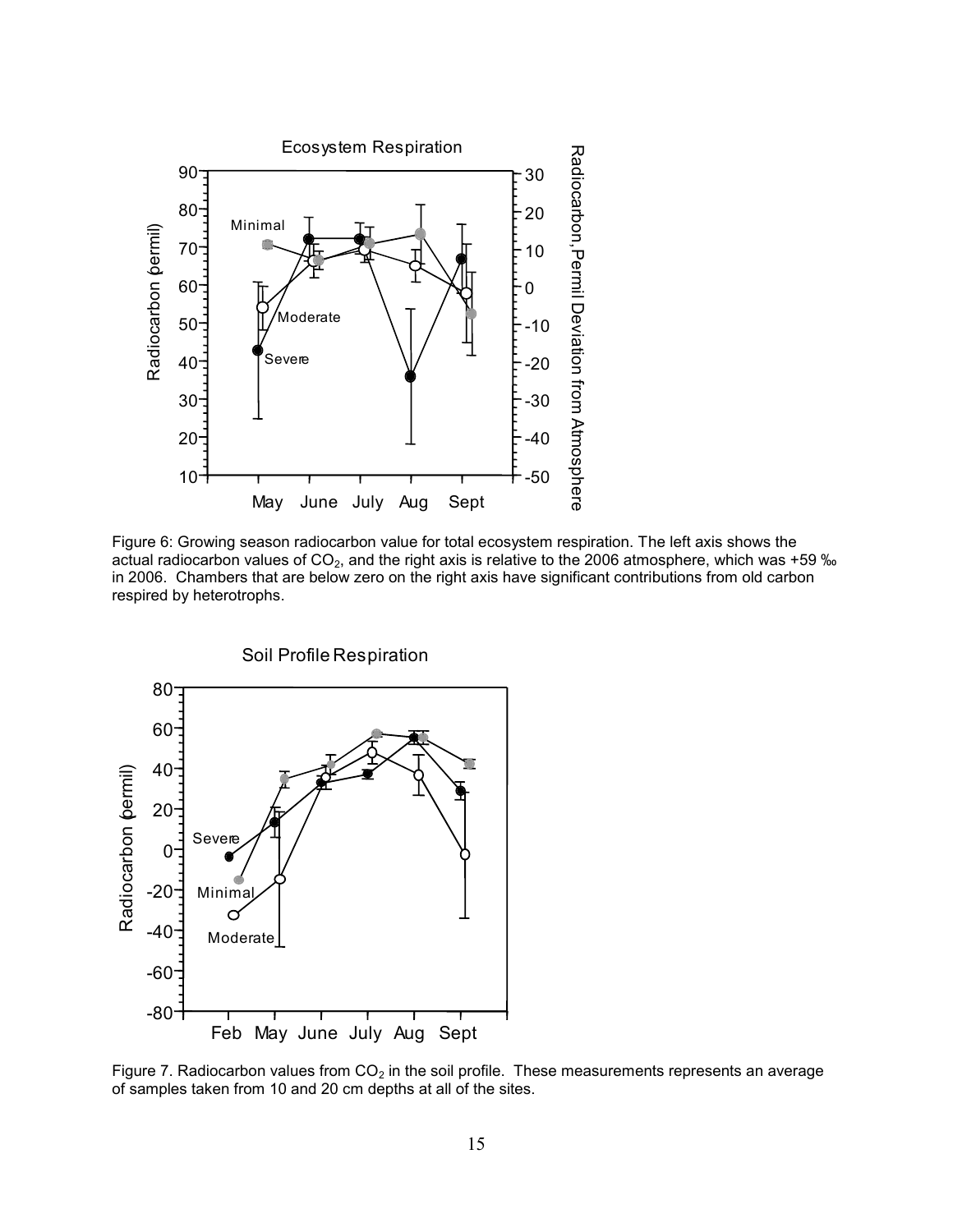

<span id="page-24-0"></span>Figure 6: Growing season radiocarbon value for total ecosystem respiration. The left axis shows the actual radiocarbon values of  $CO<sub>2</sub>$ , and the right axis is relative to the 2006 atmosphere, which was +59 ‰ in 2006. Chambers that are below zero on the right axis have significant contributions from old carbon respired by heterotrophs.



<span id="page-24-1"></span>Figure 7. Radiocarbon values from  $CO<sub>2</sub>$  in the soil profile. These measurements represents an average of samples taken from 10 and 20 cm depths at all of the sites.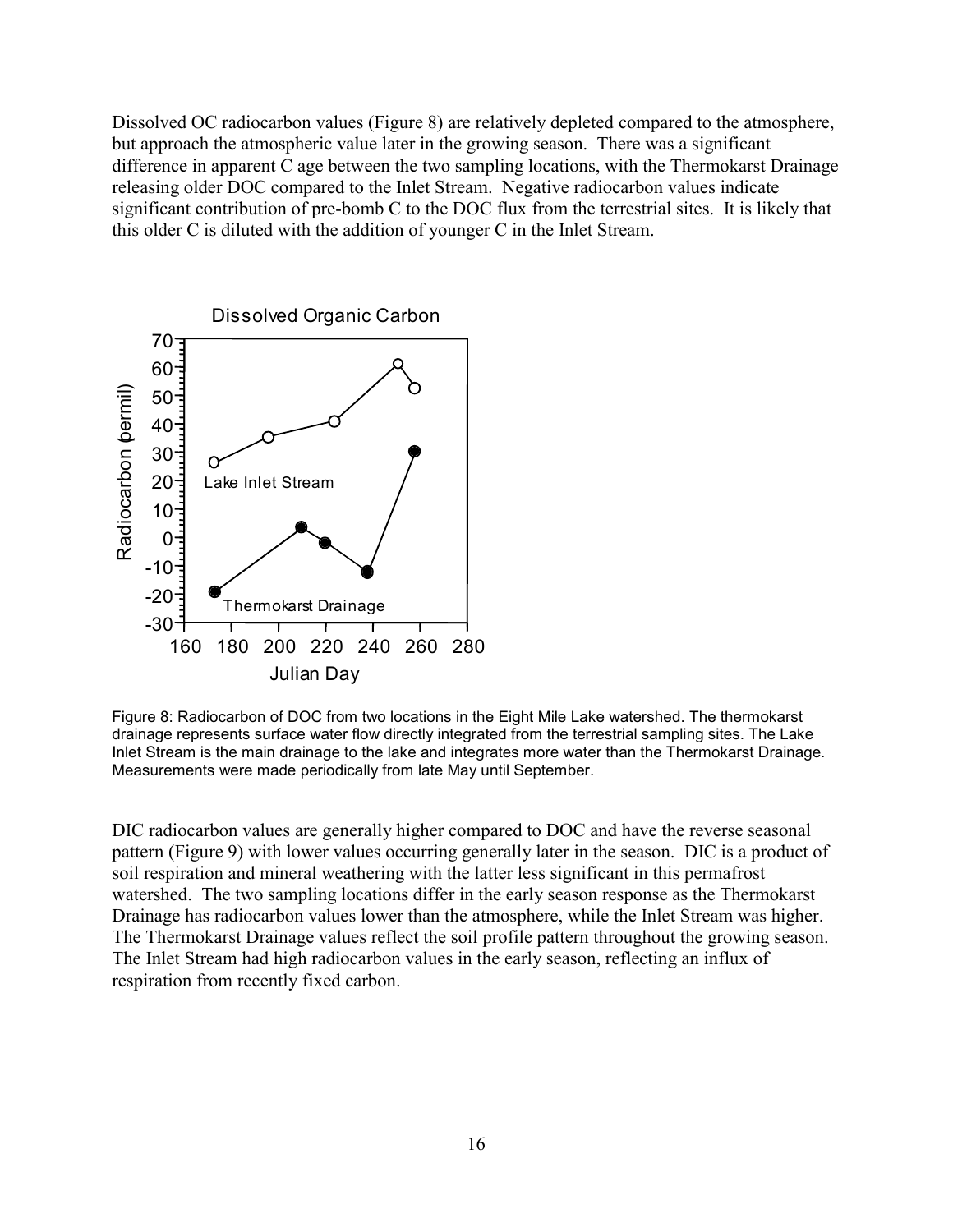Dissolved OC radiocarbon values (Figure 8) are relatively depleted compared to the atmosphere, but approach the atmospheric value later in the growing season. There was a significant difference in apparent C age between the two sampling locations, with the Thermokarst Drainage releasing older DOC compared to the Inlet Stream. Negative radiocarbon values indicate significant contribution of pre-bomb C to the DOC flux from the terrestrial sites. It is likely that this older C is diluted with the addition of younger C in the Inlet Stream.



<span id="page-25-0"></span>Figure 8: Radiocarbon of DOC from two locations in the Eight Mile Lake watershed. The thermokarst drainage represents surface water flow directly integrated from the terrestrial sampling sites. The Lake Inlet Stream is the main drainage to the lake and integrates more water than the Thermokarst Drainage. Measurements were made periodically from late May until September.

DIC radiocarbon values are generally higher compared to DOC and have the reverse seasonal pattern (Figure 9) with lower values occurring generally later in the season. DIC is a product of soil respiration and mineral weathering with the latter less significant in this permafrost watershed. The two sampling locations differ in the early season response as the Thermokarst Drainage has radiocarbon values lower than the atmosphere, while the Inlet Stream was higher. The Thermokarst Drainage values reflect the soil profile pattern throughout the growing season. The Inlet Stream had high radiocarbon values in the early season, reflecting an influx of respiration from recently fixed carbon.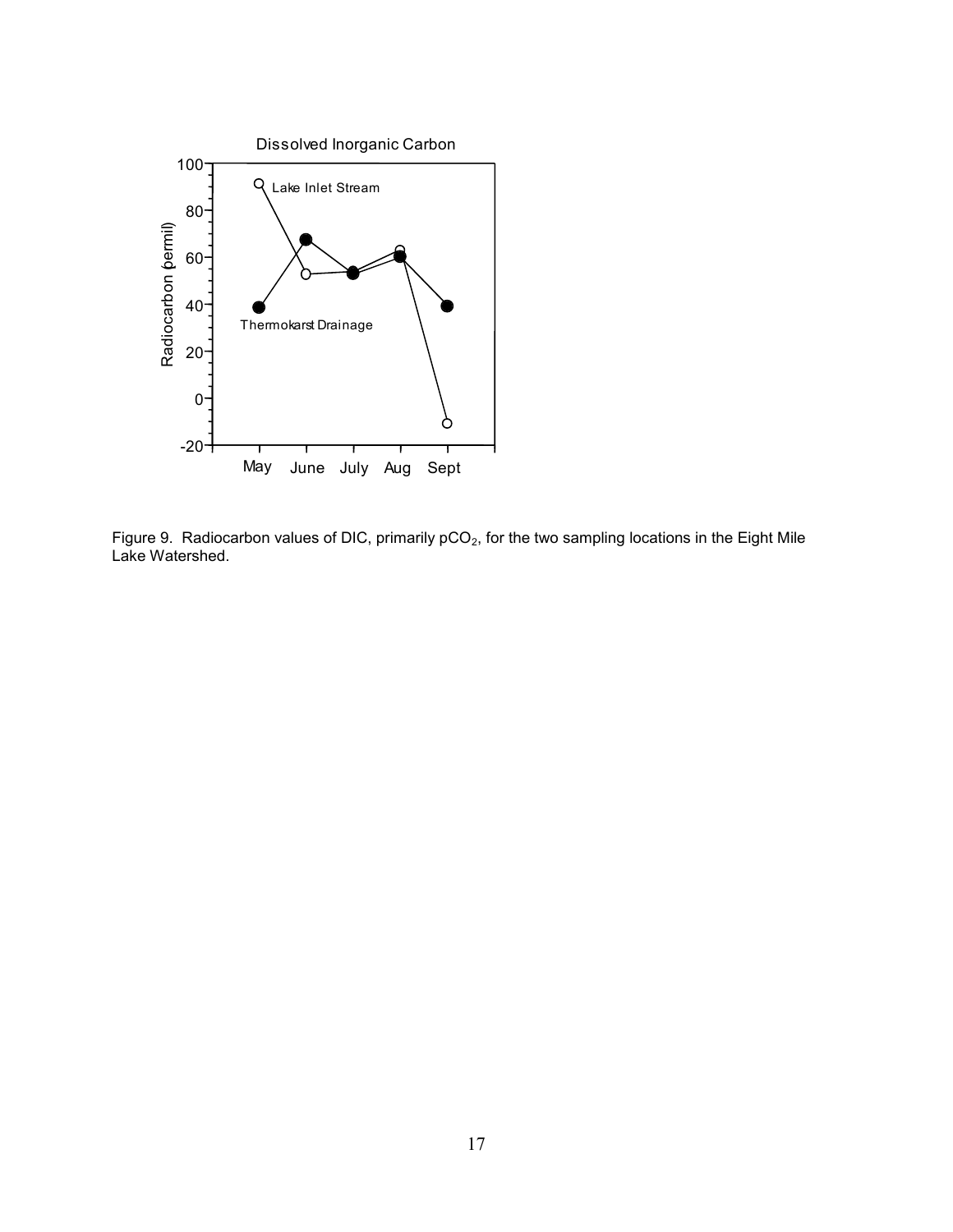

<span id="page-26-0"></span>Figure 9. Radiocarbon values of DIC, primarily pCO<sub>2</sub>, for the two sampling locations in the Eight Mile Lake Watershed.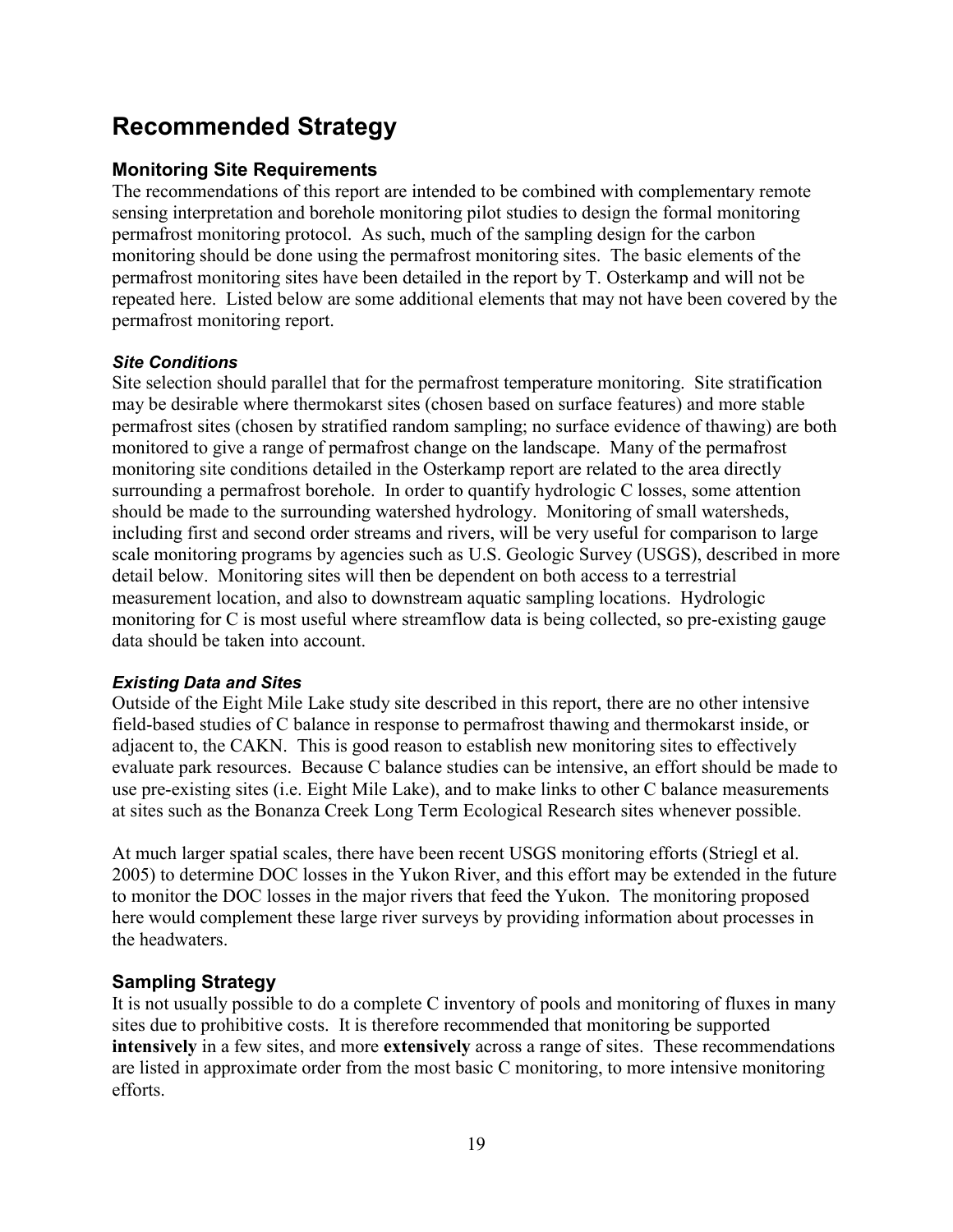## <span id="page-28-0"></span>**Recommended Strategy**

## <span id="page-28-1"></span>**Monitoring Site Requirements**

The recommendations of this report are intended to be combined with complementary remote sensing interpretation and borehole monitoring pilot studies to design the formal monitoring permafrost monitoring protocol. As such, much of the sampling design for the carbon monitoring should be done using the permafrost monitoring sites. The basic elements of the permafrost monitoring sites have been detailed in the report by T. Osterkamp and will not be repeated here. Listed below are some additional elements that may not have been covered by the permafrost monitoring report.

### <span id="page-28-2"></span>*Site Conditions*

Site selection should parallel that for the permafrost temperature monitoring. Site stratification may be desirable where thermokarst sites (chosen based on surface features) and more stable permafrost sites (chosen by stratified random sampling; no surface evidence of thawing) are both monitored to give a range of permafrost change on the landscape. Many of the permafrost monitoring site conditions detailed in the Osterkamp report are related to the area directly surrounding a permafrost borehole. In order to quantify hydrologic C losses, some attention should be made to the surrounding watershed hydrology. Monitoring of small watersheds, including first and second order streams and rivers, will be very useful for comparison to large scale monitoring programs by agencies such as U.S. Geologic Survey (USGS), described in more detail below. Monitoring sites will then be dependent on both access to a terrestrial measurement location, and also to downstream aquatic sampling locations. Hydrologic monitoring for C is most useful where streamflow data is being collected, so pre-existing gauge data should be taken into account.

### <span id="page-28-3"></span>*Existing Data and Sites*

Outside of the Eight Mile Lake study site described in this report, there are no other intensive field-based studies of C balance in response to permafrost thawing and thermokarst inside, or adjacent to, the CAKN. This is good reason to establish new monitoring sites to effectively evaluate park resources. Because C balance studies can be intensive, an effort should be made to use pre-existing sites (i.e. Eight Mile Lake), and to make links to other C balance measurements at sites such as the Bonanza Creek Long Term Ecological Research sites whenever possible.

At much larger spatial scales, there have been recent USGS monitoring efforts (Striegl et al. 2005) to determine DOC losses in the Yukon River, and this effort may be extended in the future to monitor the DOC losses in the major rivers that feed the Yukon. The monitoring proposed here would complement these large river surveys by providing information about processes in the headwaters.

## <span id="page-28-4"></span>**Sampling Strategy**

It is not usually possible to do a complete C inventory of pools and monitoring of fluxes in many sites due to prohibitive costs. It is therefore recommended that monitoring be supported **intensively** in a few sites, and more **extensively** across a range of sites. These recommendations are listed in approximate order from the most basic C monitoring, to more intensive monitoring efforts.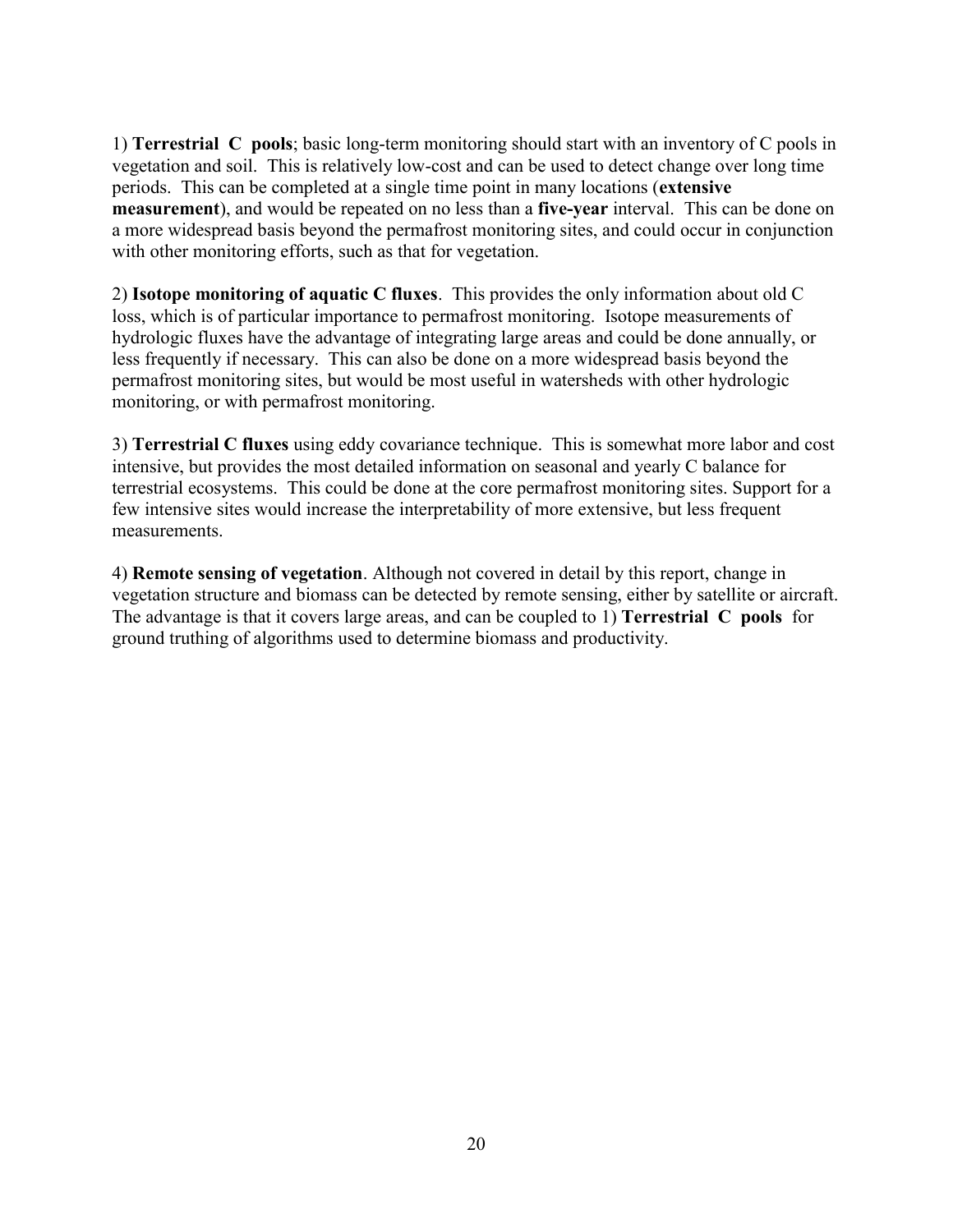1) **Terrestrial C pools**; basic long-term monitoring should start with an inventory of C pools in vegetation and soil. This is relatively low-cost and can be used to detect change over long time periods. This can be completed at a single time point in many locations (**extensive measurement**), and would be repeated on no less than a **five-year** interval. This can be done on a more widespread basis beyond the permafrost monitoring sites, and could occur in conjunction with other monitoring efforts, such as that for vegetation.

2) **Isotope monitoring of aquatic C fluxes**. This provides the only information about old C loss, which is of particular importance to permafrost monitoring. Isotope measurements of hydrologic fluxes have the advantage of integrating large areas and could be done annually, or less frequently if necessary. This can also be done on a more widespread basis beyond the permafrost monitoring sites, but would be most useful in watersheds with other hydrologic monitoring, or with permafrost monitoring.

3) **Terrestrial C fluxes** using eddy covariance technique. This is somewhat more labor and cost intensive, but provides the most detailed information on seasonal and yearly C balance for terrestrial ecosystems. This could be done at the core permafrost monitoring sites. Support for a few intensive sites would increase the interpretability of more extensive, but less frequent measurements.

4) **Remote sensing of vegetation**. Although not covered in detail by this report, change in vegetation structure and biomass can be detected by remote sensing, either by satellite or aircraft. The advantage is that it covers large areas, and can be coupled to 1) **Terrestrial C pools** for ground truthing of algorithms used to determine biomass and productivity.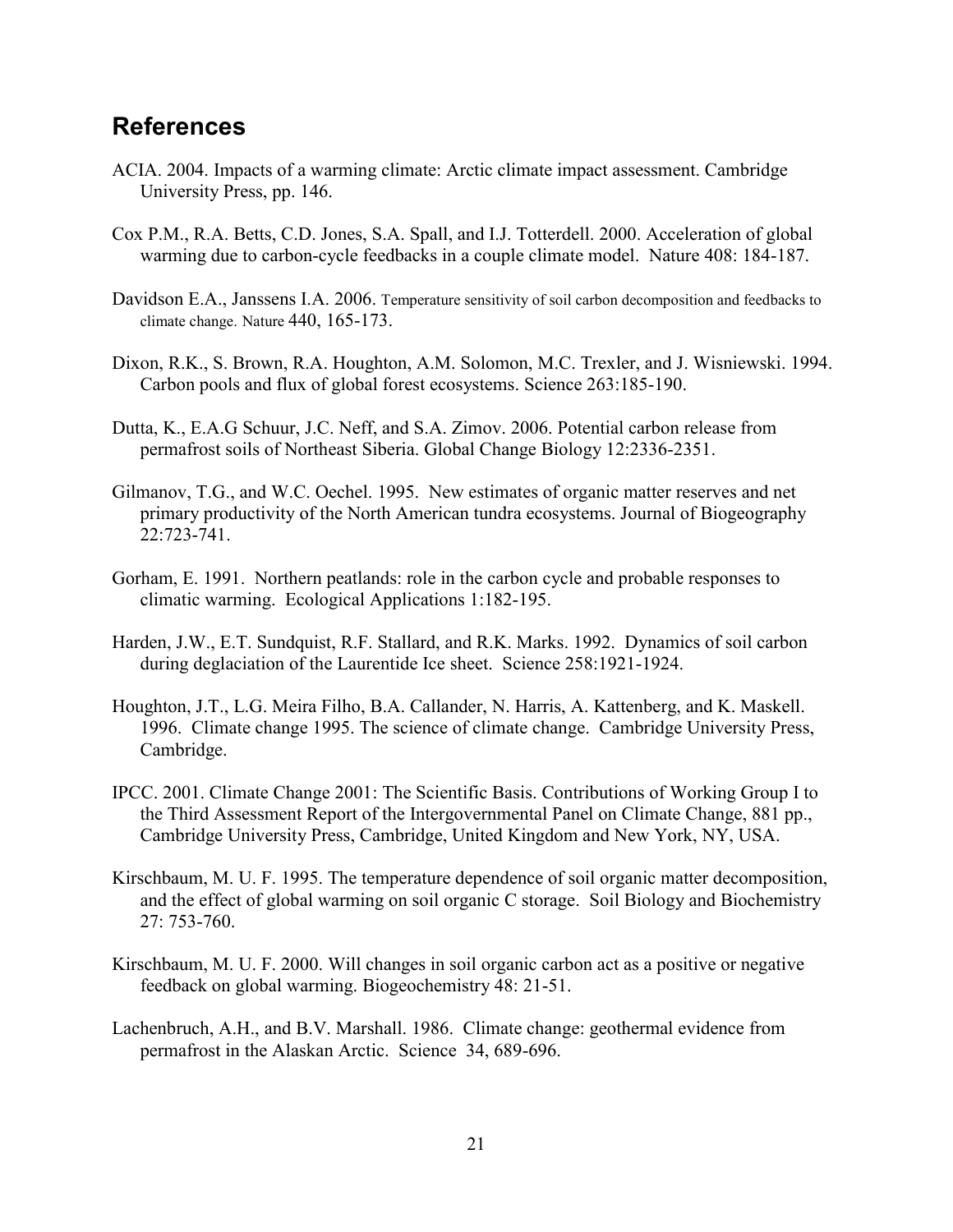## <span id="page-30-0"></span>**References**

- ACIA. 2004. Impacts of a warming climate: Arctic climate impact assessment. Cambridge University Press, pp. 146.
- Cox P.M., R.A. Betts, C.D. Jones, S.A. Spall, and I.J. Totterdell. 2000. Acceleration of global warming due to carbon-cycle feedbacks in a couple climate model. Nature 408: 184-187.
- Davidson E.A., Janssens I.A. 2006. Temperature sensitivity of soil carbon decomposition and feedbacks to climate change. Nature 440, 165-173.
- Dixon, R.K., S. Brown, R.A. Houghton, A.M. Solomon, M.C. Trexler, and J. Wisniewski. 1994. Carbon pools and flux of global forest ecosystems. Science 263:185-190.
- Dutta, K., E.A.G Schuur, J.C. Neff, and S.A. Zimov. 2006. Potential carbon release from permafrost soils of Northeast Siberia. Global Change Biology 12:2336-2351.
- Gilmanov, T.G., and W.C. Oechel. 1995. New estimates of organic matter reserves and net primary productivity of the North American tundra ecosystems. Journal of Biogeography 22:723-741.
- Gorham, E. 1991. Northern peatlands: role in the carbon cycle and probable responses to climatic warming. Ecological Applications 1:182-195.
- Harden, J.W., E.T. Sundquist, R.F. Stallard, and R.K. Marks. 1992. Dynamics of soil carbon during deglaciation of the Laurentide Ice sheet. Science 258:1921-1924.
- Houghton, J.T., L.G. Meira Filho, B.A. Callander, N. Harris, A. Kattenberg, and K. Maskell. 1996. Climate change 1995. The science of climate change. Cambridge University Press, Cambridge.
- IPCC. 2001. Climate Change 2001: The Scientific Basis. Contributions of Working Group I to the Third Assessment Report of the Intergovernmental Panel on Climate Change, 881 pp., Cambridge University Press, Cambridge, United Kingdom and New York, NY, USA.
- Kirschbaum, M. U. F. 1995. The temperature dependence of soil organic matter decomposition, and the effect of global warming on soil organic C storage. Soil Biology and Biochemistry 27: 753-760.
- Kirschbaum, M. U. F. 2000. Will changes in soil organic carbon act as a positive or negative feedback on global warming. Biogeochemistry 48: 21-51.
- Lachenbruch, A.H., and B.V. Marshall. 1986. Climate change: geothermal evidence from permafrost in the Alaskan Arctic. Science 34, 689-696.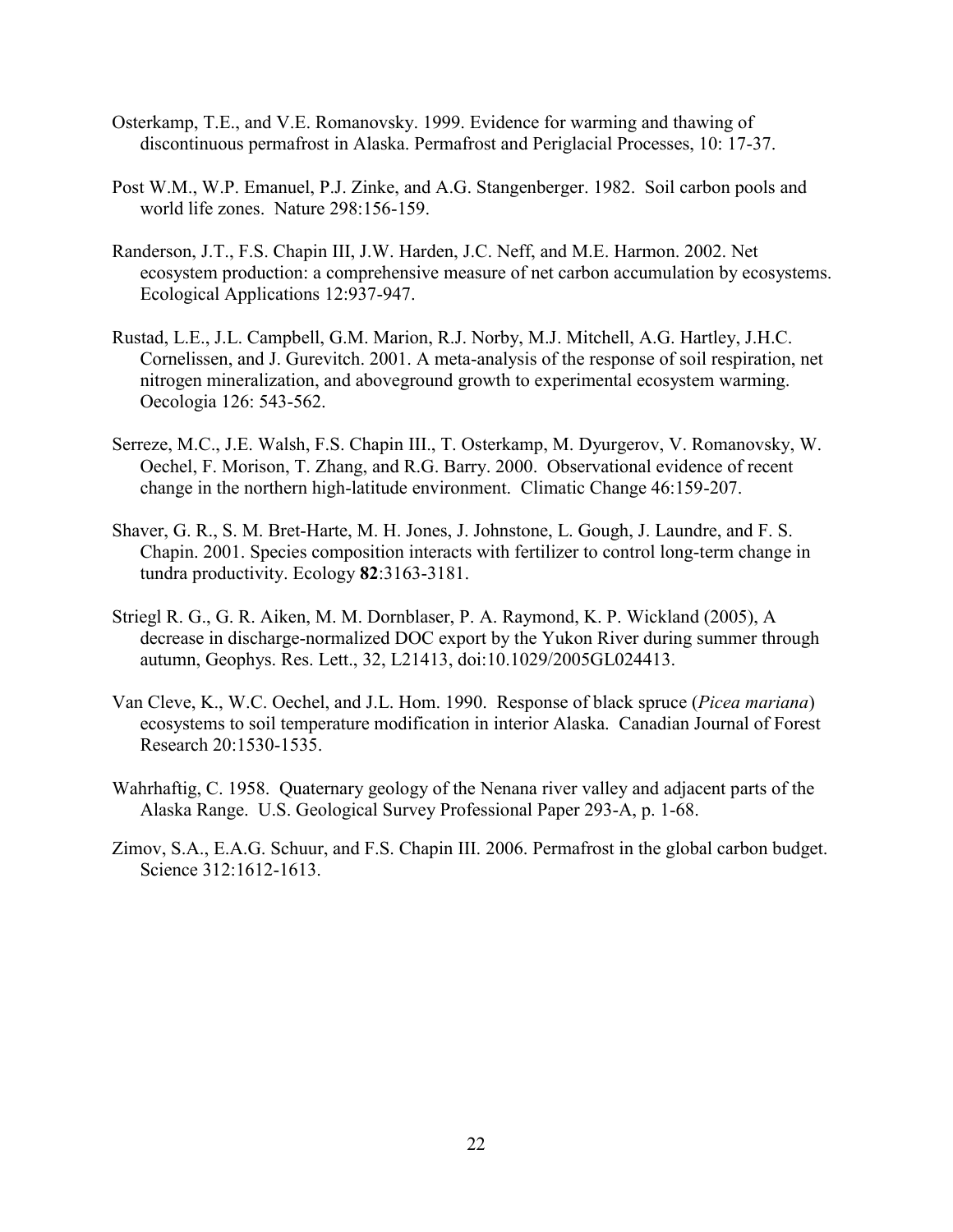- Osterkamp, T.E., and V.E. Romanovsky. 1999. Evidence for warming and thawing of discontinuous permafrost in Alaska. Permafrost and Periglacial Processes, 10: 17-37.
- Post W.M., W.P. Emanuel, P.J. Zinke, and A.G. Stangenberger. 1982. Soil carbon pools and world life zones. Nature 298:156-159.
- Randerson, J.T., F.S. Chapin III, J.W. Harden, J.C. Neff, and M.E. Harmon. 2002. Net ecosystem production: a comprehensive measure of net carbon accumulation by ecosystems. Ecological Applications 12:937-947.
- Rustad, L.E., J.L. Campbell, G.M. Marion, R.J. Norby, M.J. Mitchell, A.G. Hartley, J.H.C. Cornelissen, and J. Gurevitch. 2001. A meta-analysis of the response of soil respiration, net nitrogen mineralization, and aboveground growth to experimental ecosystem warming. Oecologia 126: 543-562.
- Serreze, M.C., J.E. Walsh, F.S. Chapin III., T. Osterkamp, M. Dyurgerov, V. Romanovsky, W. Oechel, F. Morison, T. Zhang, and R.G. Barry. 2000. Observational evidence of recent change in the northern high-latitude environment. Climatic Change 46:159-207.
- Shaver, G. R., S. M. Bret-Harte, M. H. Jones, J. Johnstone, L. Gough, J. Laundre, and F. S. Chapin. 2001. Species composition interacts with fertilizer to control long-term change in tundra productivity. Ecology **82**:3163-3181.
- Striegl R. G., G. R. Aiken, M. M. Dornblaser, P. A. Raymond, K. P. Wickland (2005), A decrease in discharge-normalized DOC export by the Yukon River during summer through autumn, Geophys. Res. Lett., 32, L21413, doi:10.1029/2005GL024413.
- Van Cleve, K., W.C. Oechel, and J.L. Hom. 1990. Response of black spruce (*Picea mariana*) ecosystems to soil temperature modification in interior Alaska. Canadian Journal of Forest Research 20:1530-1535.
- Wahrhaftig, C. 1958. Quaternary geology of the Nenana river valley and adjacent parts of the Alaska Range. U.S. Geological Survey Professional Paper 293-A, p. 1-68.
- Zimov, S.A., E.A.G. Schuur, and F.S. Chapin III. 2006. Permafrost in the global carbon budget. Science 312:1612-1613.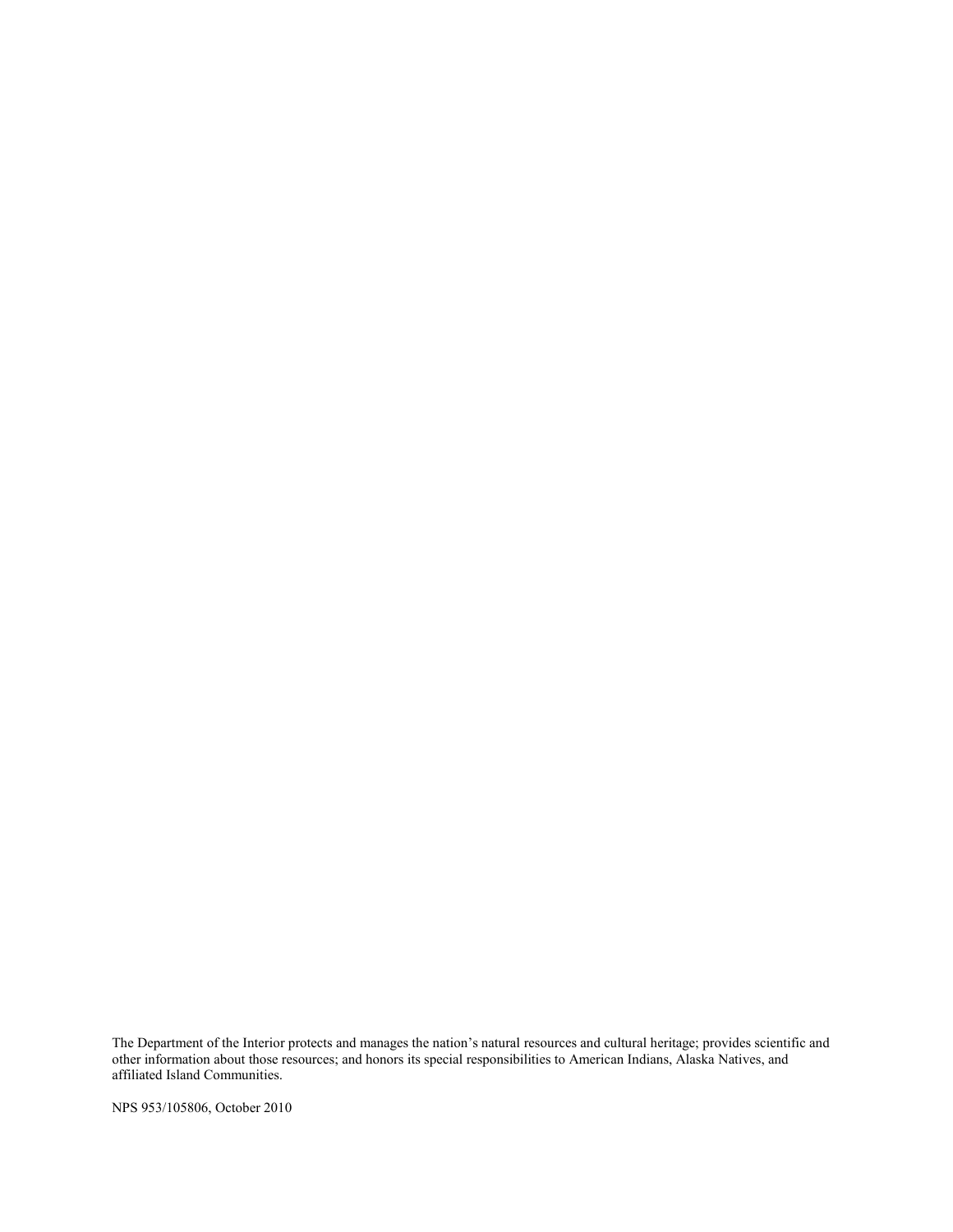The Department of the Interior protects and manages the nation"s natural resources and cultural heritage; provides scientific and other information about those resources; and honors its special responsibilities to American Indians, Alaska Natives, and affiliated Island Communities.

NPS 953/105806, October 2010